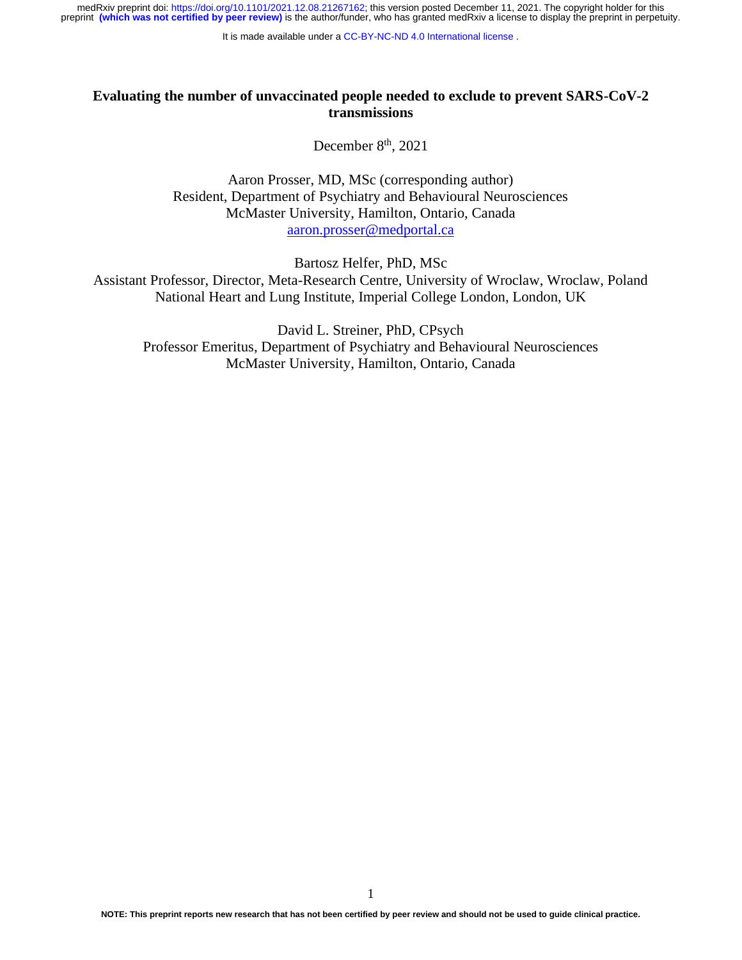It is made available under a [CC-BY-NC-ND 4.0 International license](http://creativecommons.org/licenses/by-nc-nd/4.0/) .

## **Evaluating the number of unvaccinated people needed to exclude to prevent SARS-CoV-2 transmissions**

December 8<sup>th</sup>, 2021

Aaron Prosser, MD, MSc (corresponding author) Resident, Department of Psychiatry and Behavioural Neurosciences McMaster University, Hamilton, Ontario, Canada [aaron.prosser@medportal.ca](mailto:aaron.prosser@medportal.ca)

Bartosz Helfer, PhD, MSc

Assistant Professor, Director, Meta-Research Centre, University of Wroclaw, Wroclaw, Poland National Heart and Lung Institute, Imperial College London, London, UK

David L. Streiner, PhD, CPsych Professor Emeritus, Department of Psychiatry and Behavioural Neurosciences McMaster University, Hamilton, Ontario, Canada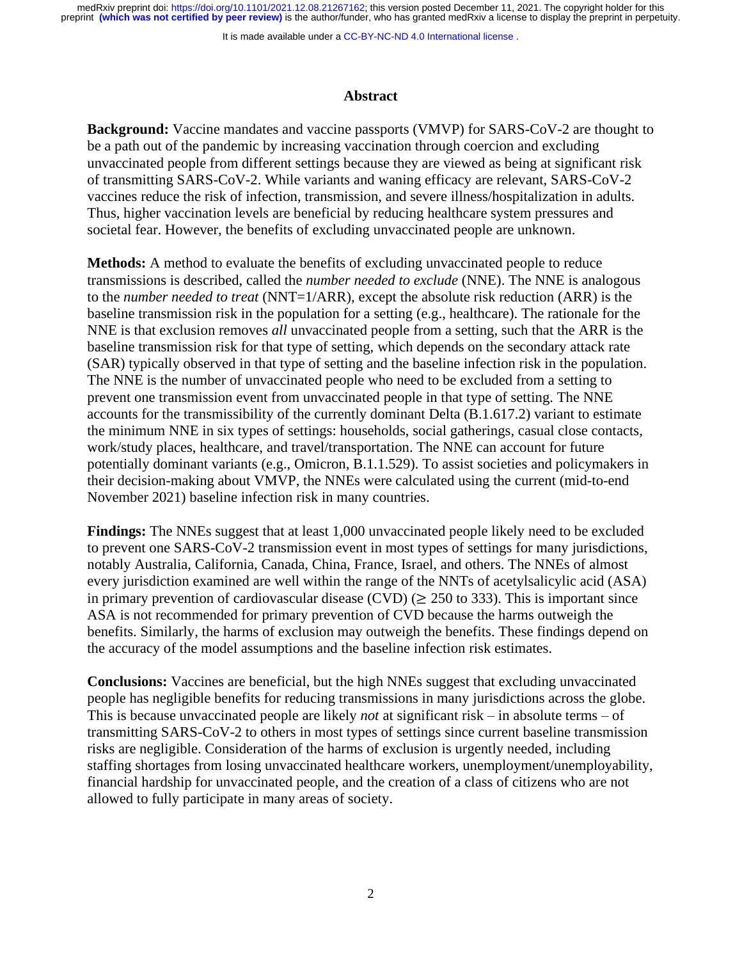It is made available under a [CC-BY-NC-ND 4.0 International license](http://creativecommons.org/licenses/by-nc-nd/4.0/) .

### **Abstract**

**Background:** Vaccine mandates and vaccine passports (VMVP) for SARS-CoV-2 are thought to be a path out of the pandemic by increasing vaccination through coercion and excluding unvaccinated people from different settings because they are viewed as being at significant risk of transmitting SARS-CoV-2. While variants and waning efficacy are relevant, SARS-CoV-2 vaccines reduce the risk of infection, transmission, and severe illness/hospitalization in adults. Thus, higher vaccination levels are beneficial by reducing healthcare system pressures and societal fear. However, the benefits of excluding unvaccinated people are unknown.

**Methods:** A method to evaluate the benefits of excluding unvaccinated people to reduce transmissions is described, called the *number needed to exclude* (NNE). The NNE is analogous to the *number needed to treat* (NNT=1/ARR), except the absolute risk reduction (ARR) is the baseline transmission risk in the population for a setting (e.g., healthcare). The rationale for the NNE is that exclusion removes *all* unvaccinated people from a setting, such that the ARR is the baseline transmission risk for that type of setting, which depends on the secondary attack rate (SAR) typically observed in that type of setting and the baseline infection risk in the population. The NNE is the number of unvaccinated people who need to be excluded from a setting to prevent one transmission event from unvaccinated people in that type of setting. The NNE accounts for the transmissibility of the currently dominant Delta (B.1.617.2) variant to estimate the minimum NNE in six types of settings: households, social gatherings, casual close contacts, work/study places, healthcare, and travel/transportation. The NNE can account for future potentially dominant variants (e.g., Omicron, B.1.1.529). To assist societies and policymakers in their decision-making about VMVP, the NNEs were calculated using the current (mid-to-end November 2021) baseline infection risk in many countries.

**Findings:** The NNEs suggest that at least 1,000 unvaccinated people likely need to be excluded to prevent one SARS-CoV-2 transmission event in most types of settings for many jurisdictions, notably Australia, California, Canada, China, France, Israel, and others. The NNEs of almost every jurisdiction examined are well within the range of the NNTs of acetylsalicylic acid (ASA) in primary prevention of cardiovascular disease (CVD) ( $\geq$  250 to 333). This is important since ASA is not recommended for primary prevention of CVD because the harms outweigh the benefits. Similarly, the harms of exclusion may outweigh the benefits. These findings depend on the accuracy of the model assumptions and the baseline infection risk estimates.

**Conclusions:** Vaccines are beneficial, but the high NNEs suggest that excluding unvaccinated people has negligible benefits for reducing transmissions in many jurisdictions across the globe. This is because unvaccinated people are likely *not* at significant risk – in absolute terms – of transmitting SARS-CoV-2 to others in most types of settings since current baseline transmission risks are negligible. Consideration of the harms of exclusion is urgently needed, including staffing shortages from losing unvaccinated healthcare workers, unemployment/unemployability, financial hardship for unvaccinated people, and the creation of a class of citizens who are not allowed to fully participate in many areas of society.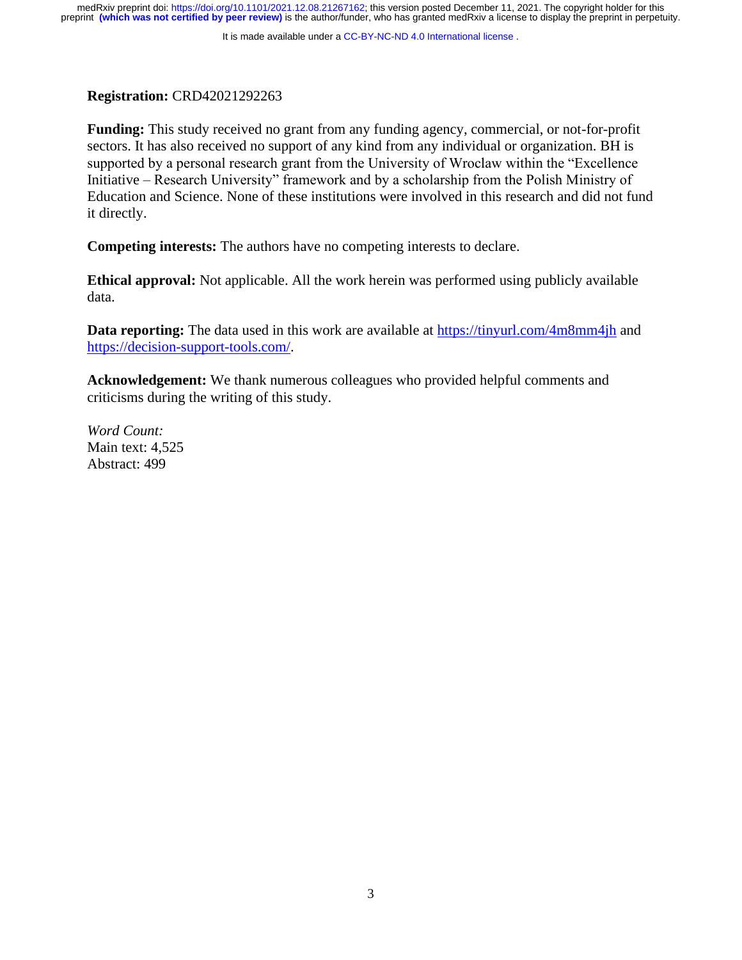It is made available under a [CC-BY-NC-ND 4.0 International license](http://creativecommons.org/licenses/by-nc-nd/4.0/) .

## **Registration:** CRD42021292263

**Funding:** This study received no grant from any funding agency, commercial, or not-for-profit sectors. It has also received no support of any kind from any individual or organization. BH is supported by a personal research grant from the University of Wroclaw within the "Excellence Initiative – Research University" framework and by a scholarship from the Polish Ministry of Education and Science. None of these institutions were involved in this research and did not fund it directly.

**Competing interests:** The authors have no competing interests to declare.

**Ethical approval:** Not applicable. All the work herein was performed using publicly available data.

**Data reporting:** The data used in this work are available at<https://tinyurl.com/4m8mm4jh> and [https://decision-support-tools.com/.](https://decision-support-tools.com/)

**Acknowledgement:** We thank numerous colleagues who provided helpful comments and criticisms during the writing of this study.

*Word Count:* Main text: 4,525 Abstract: 499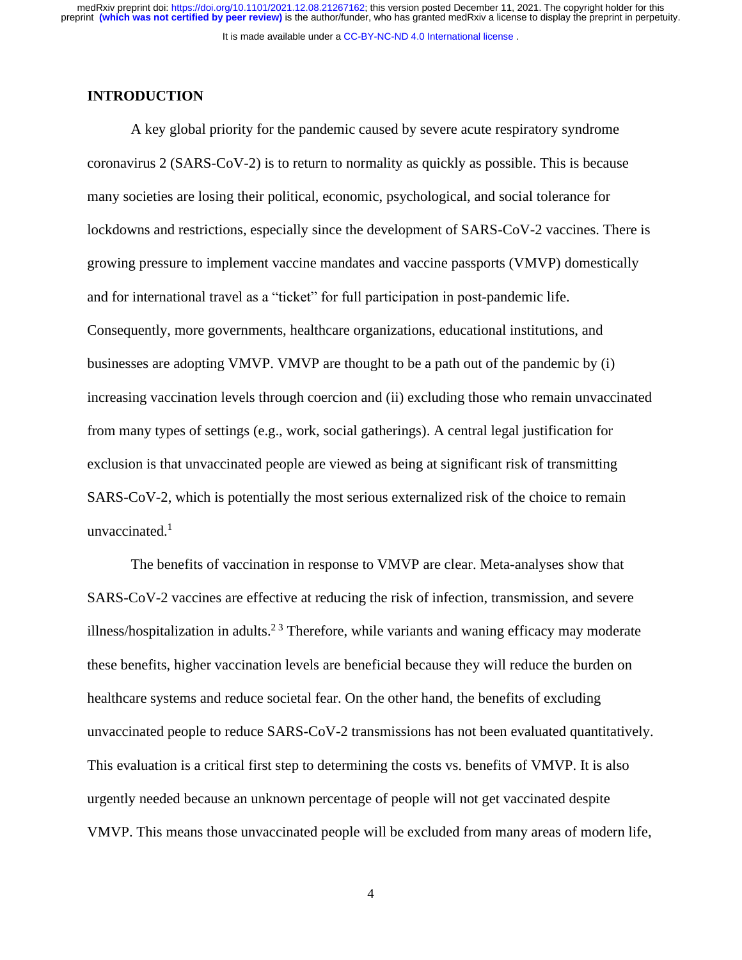## **INTRODUCTION**

A key global priority for the pandemic caused by severe acute respiratory syndrome coronavirus 2 (SARS-CoV-2) is to return to normality as quickly as possible. This is because many societies are losing their political, economic, psychological, and social tolerance for lockdowns and restrictions, especially since the development of SARS-CoV-2 vaccines. There is growing pressure to implement vaccine mandates and vaccine passports (VMVP) domestically and for international travel as a "ticket" for full participation in post-pandemic life. Consequently, more governments, healthcare organizations, educational institutions, and businesses are adopting VMVP. VMVP are thought to be a path out of the pandemic by (i) increasing vaccination levels through coercion and (ii) excluding those who remain unvaccinated from many types of settings (e.g., work, social gatherings). A central legal justification for exclusion is that unvaccinated people are viewed as being at significant risk of transmitting SARS-CoV-2, which is potentially the most serious externalized risk of the choice to remain unvaccinated.<sup>1</sup>

The benefits of vaccination in response to VMVP are clear. Meta-analyses show that SARS-CoV-2 vaccines are effective at reducing the risk of infection, transmission, and severe illness/hospitalization in adults.<sup>23</sup> Therefore, while variants and waning efficacy may moderate these benefits, higher vaccination levels are beneficial because they will reduce the burden on healthcare systems and reduce societal fear. On the other hand, the benefits of excluding unvaccinated people to reduce SARS-CoV-2 transmissions has not been evaluated quantitatively. This evaluation is a critical first step to determining the costs vs. benefits of VMVP. It is also urgently needed because an unknown percentage of people will not get vaccinated despite VMVP. This means those unvaccinated people will be excluded from many areas of modern life,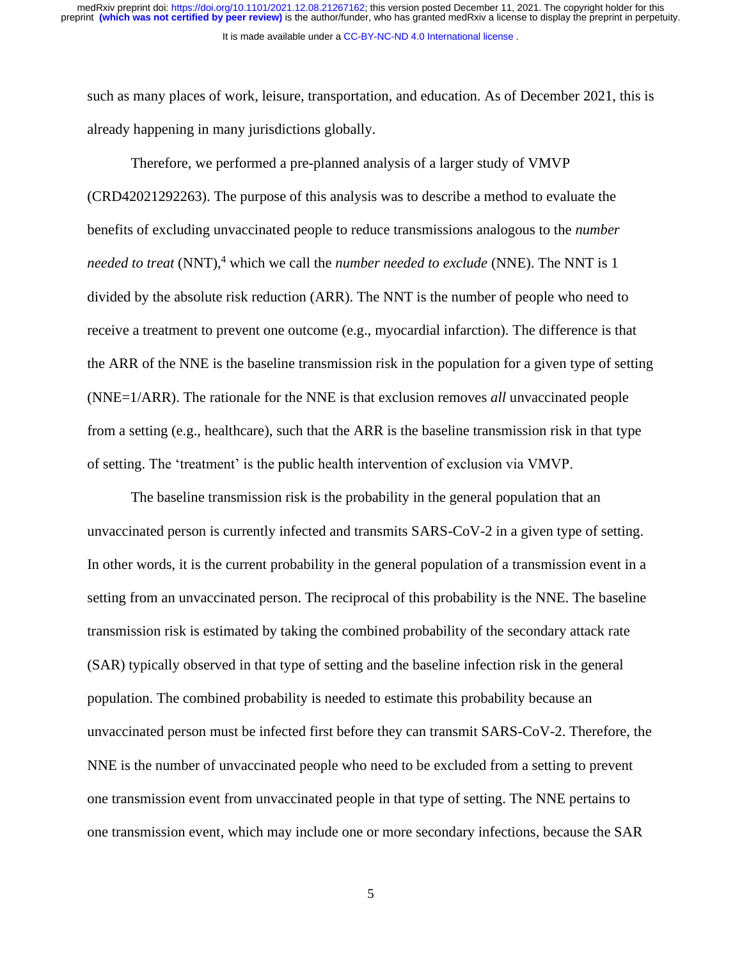such as many places of work, leisure, transportation, and education. As of December 2021, this is already happening in many jurisdictions globally.

Therefore, we performed a pre-planned analysis of a larger study of VMVP (CRD42021292263). The purpose of this analysis was to describe a method to evaluate the benefits of excluding unvaccinated people to reduce transmissions analogous to the *number needed to treat* (NNT), <sup>4</sup> which we call the *number needed to exclude* (NNE). The NNT is 1 divided by the absolute risk reduction (ARR). The NNT is the number of people who need to receive a treatment to prevent one outcome (e.g., myocardial infarction). The difference is that the ARR of the NNE is the baseline transmission risk in the population for a given type of setting (NNE=1/ARR). The rationale for the NNE is that exclusion removes *all* unvaccinated people from a setting (e.g., healthcare), such that the ARR is the baseline transmission risk in that type of setting. The 'treatment' is the public health intervention of exclusion via VMVP.

The baseline transmission risk is the probability in the general population that an unvaccinated person is currently infected and transmits SARS-CoV-2 in a given type of setting. In other words, it is the current probability in the general population of a transmission event in a setting from an unvaccinated person. The reciprocal of this probability is the NNE. The baseline transmission risk is estimated by taking the combined probability of the secondary attack rate (SAR) typically observed in that type of setting and the baseline infection risk in the general population. The combined probability is needed to estimate this probability because an unvaccinated person must be infected first before they can transmit SARS-CoV-2. Therefore, the NNE is the number of unvaccinated people who need to be excluded from a setting to prevent one transmission event from unvaccinated people in that type of setting. The NNE pertains to one transmission event, which may include one or more secondary infections, because the SAR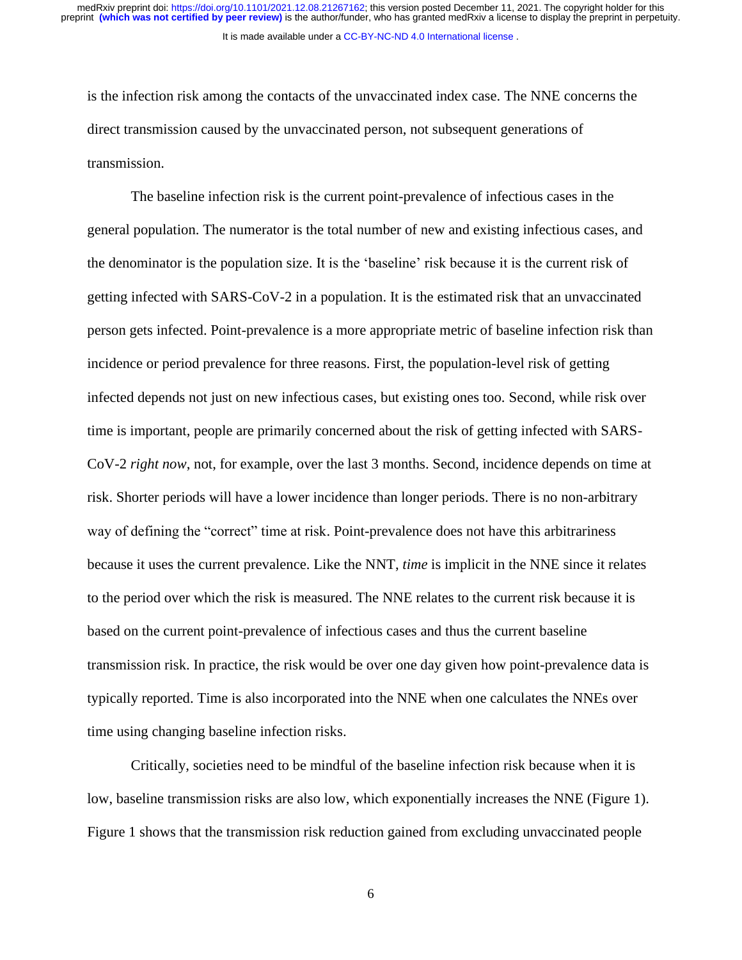is the infection risk among the contacts of the unvaccinated index case. The NNE concerns the direct transmission caused by the unvaccinated person, not subsequent generations of transmission.

The baseline infection risk is the current point-prevalence of infectious cases in the general population. The numerator is the total number of new and existing infectious cases, and the denominator is the population size. It is the 'baseline' risk because it is the current risk of getting infected with SARS-CoV-2 in a population. It is the estimated risk that an unvaccinated person gets infected. Point-prevalence is a more appropriate metric of baseline infection risk than incidence or period prevalence for three reasons. First, the population-level risk of getting infected depends not just on new infectious cases, but existing ones too. Second, while risk over time is important, people are primarily concerned about the risk of getting infected with SARS-CoV-2 *right now*, not, for example, over the last 3 months. Second, incidence depends on time at risk. Shorter periods will have a lower incidence than longer periods. There is no non-arbitrary way of defining the "correct" time at risk. Point-prevalence does not have this arbitrariness because it uses the current prevalence. Like the NNT, *time* is implicit in the NNE since it relates to the period over which the risk is measured. The NNE relates to the current risk because it is based on the current point-prevalence of infectious cases and thus the current baseline transmission risk. In practice, the risk would be over one day given how point-prevalence data is typically reported. Time is also incorporated into the NNE when one calculates the NNEs over time using changing baseline infection risks.

Critically, societies need to be mindful of the baseline infection risk because when it is low, baseline transmission risks are also low, which exponentially increases the NNE (Figure 1). Figure 1 shows that the transmission risk reduction gained from excluding unvaccinated people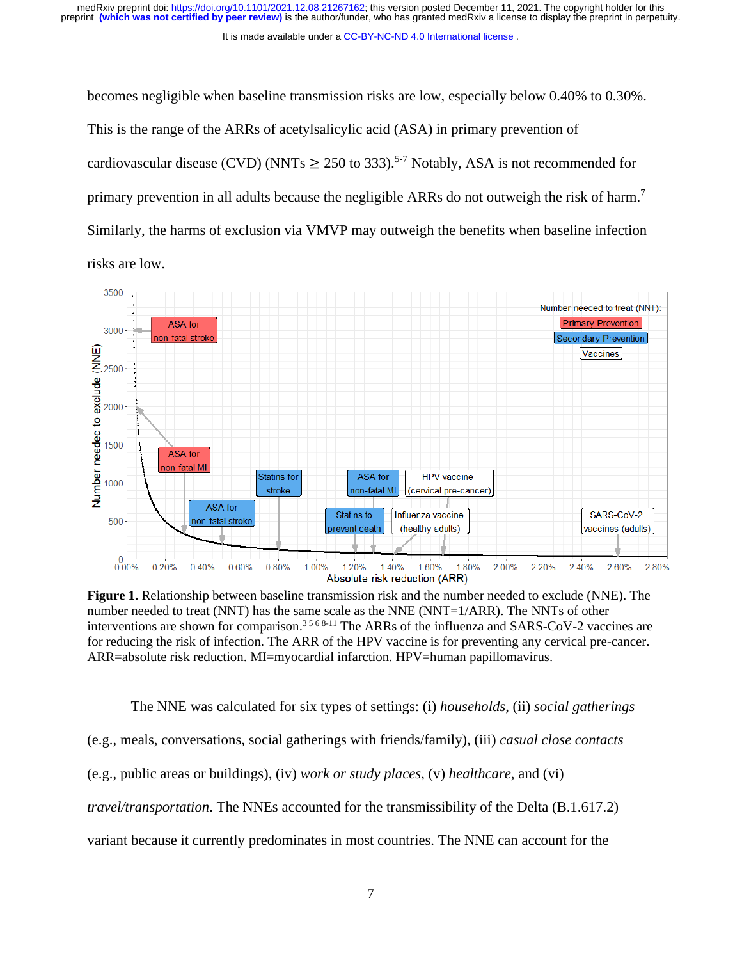It is made available under a [CC-BY-NC-ND 4.0 International license](http://creativecommons.org/licenses/by-nc-nd/4.0/) .

becomes negligible when baseline transmission risks are low, especially below 0.40% to 0.30%.

This is the range of the ARRs of acetylsalicylic acid (ASA) in primary prevention of cardiovascular disease (CVD) (NNTs  $\geq 250$  to 333).<sup>5-7</sup> Notably, ASA is not recommended for primary prevention in all adults because the negligible ARRs do not outweigh the risk of harm.<sup>7</sup> Similarly, the harms of exclusion via VMVP may outweigh the benefits when baseline infection risks are low.



**Figure 1.** Relationship between baseline transmission risk and the number needed to exclude (NNE). The number needed to treat (NNT) has the same scale as the NNE (NNT=1/ARR). The NNTs of other interventions are shown for comparison.<sup>3568-11</sup> The ARRs of the influenza and SARS-CoV-2 vaccines are for reducing the risk of infection. The ARR of the HPV vaccine is for preventing any cervical pre-cancer. ARR=absolute risk reduction. MI=myocardial infarction. HPV=human papillomavirus.

The NNE was calculated for six types of settings: (i) *households*, (ii) *social gatherings*

(e.g., meals, conversations, social gatherings with friends/family), (iii) *casual close contacts*

(e.g., public areas or buildings), (iv) *work or study places*, (v) *healthcare*, and (vi)

*travel/transportation*. The NNEs accounted for the transmissibility of the Delta (B.1.617.2)

variant because it currently predominates in most countries. The NNE can account for the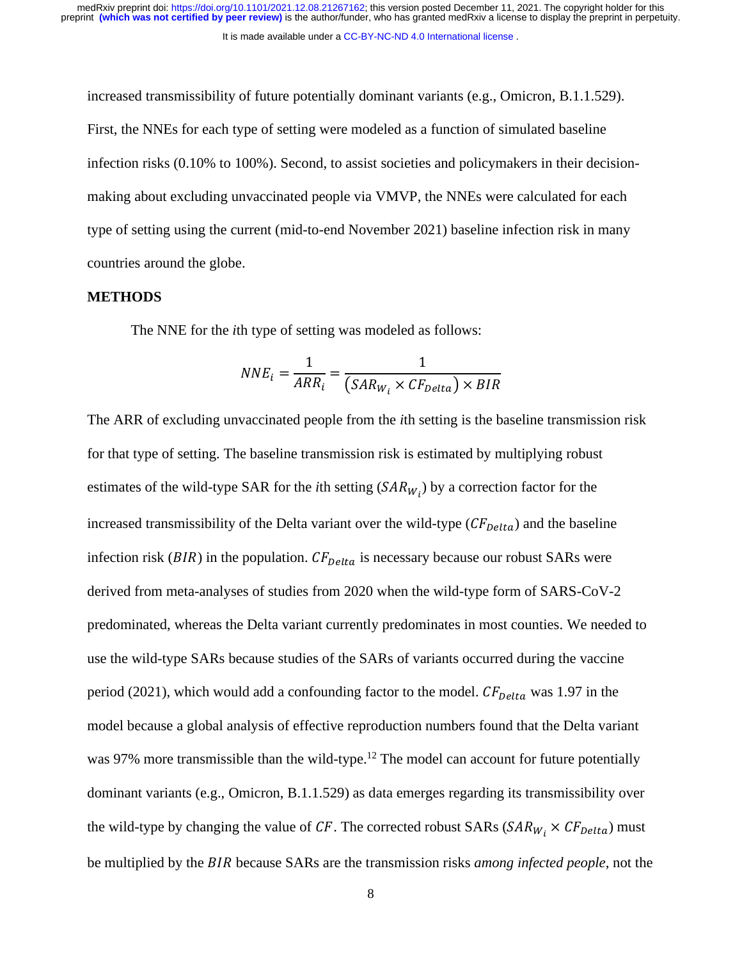increased transmissibility of future potentially dominant variants (e.g., Omicron, B.1.1.529). First, the NNEs for each type of setting were modeled as a function of simulated baseline infection risks (0.10% to 100%). Second, to assist societies and policymakers in their decisionmaking about excluding unvaccinated people via VMVP, the NNEs were calculated for each type of setting using the current (mid-to-end November 2021) baseline infection risk in many countries around the globe.

### **METHODS**

The NNE for the *i*th type of setting was modeled as follows:

$$
NNE_i = \frac{1}{ARR_i} = \frac{1}{(SAR_{W_i} \times CF_{Delta}) \times BIR}
$$

The ARR of excluding unvaccinated people from the *i*th setting is the baseline transmission risk for that type of setting. The baseline transmission risk is estimated by multiplying robust estimates of the wild-type SAR for the *i*th setting  $(SAR_{W_i})$  by a correction factor for the increased transmissibility of the Delta variant over the wild-type  $(CF_{Delta})$  and the baseline infection risk ( $BIR$ ) in the population.  $CF_{Delta}$  is necessary because our robust SARs were derived from meta-analyses of studies from 2020 when the wild-type form of SARS-CoV-2 predominated, whereas the Delta variant currently predominates in most counties. We needed to use the wild-type SARs because studies of the SARs of variants occurred during the vaccine period (2021), which would add a confounding factor to the model.  $CF_{Delta}$  was 1.97 in the model because a global analysis of effective reproduction numbers found that the Delta variant was 97% more transmissible than the wild-type.<sup>12</sup> The model can account for future potentially dominant variants (e.g., Omicron, B.1.1.529) as data emerges regarding its transmissibility over the wild-type by changing the value of CF. The corrected robust SARs ( $SAR_{W_i} \times CF_{Delta}$ ) must be multiplied by the *BIR* because SARs are the transmission risks *among infected people*, not the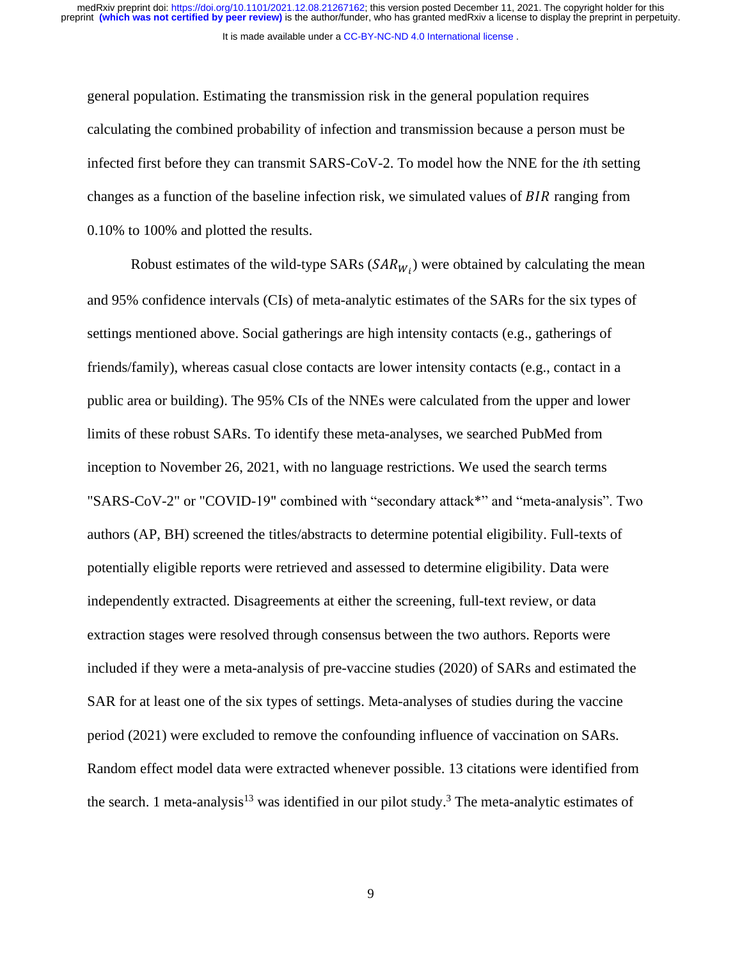general population. Estimating the transmission risk in the general population requires calculating the combined probability of infection and transmission because a person must be infected first before they can transmit SARS-CoV-2. To model how the NNE for the *i*th setting changes as a function of the baseline infection risk, we simulated values of  $BIR$  ranging from 0.10% to 100% and plotted the results.

Robust estimates of the wild-type SARs  $(SAR_{W_i})$  were obtained by calculating the mean and 95% confidence intervals (CIs) of meta-analytic estimates of the SARs for the six types of settings mentioned above. Social gatherings are high intensity contacts (e.g., gatherings of friends/family), whereas casual close contacts are lower intensity contacts (e.g., contact in a public area or building). The 95% CIs of the NNEs were calculated from the upper and lower limits of these robust SARs. To identify these meta-analyses, we searched PubMed from inception to November 26, 2021, with no language restrictions. We used the search terms "SARS-CoV-2" or "COVID-19" combined with "secondary attack\*" and "meta-analysis". Two authors (AP, BH) screened the titles/abstracts to determine potential eligibility. Full-texts of potentially eligible reports were retrieved and assessed to determine eligibility. Data were independently extracted. Disagreements at either the screening, full-text review, or data extraction stages were resolved through consensus between the two authors. Reports were included if they were a meta-analysis of pre-vaccine studies (2020) of SARs and estimated the SAR for at least one of the six types of settings. Meta-analyses of studies during the vaccine period (2021) were excluded to remove the confounding influence of vaccination on SARs. Random effect model data were extracted whenever possible. 13 citations were identified from the search. 1 meta-analysis<sup>13</sup> was identified in our pilot study.<sup>3</sup> The meta-analytic estimates of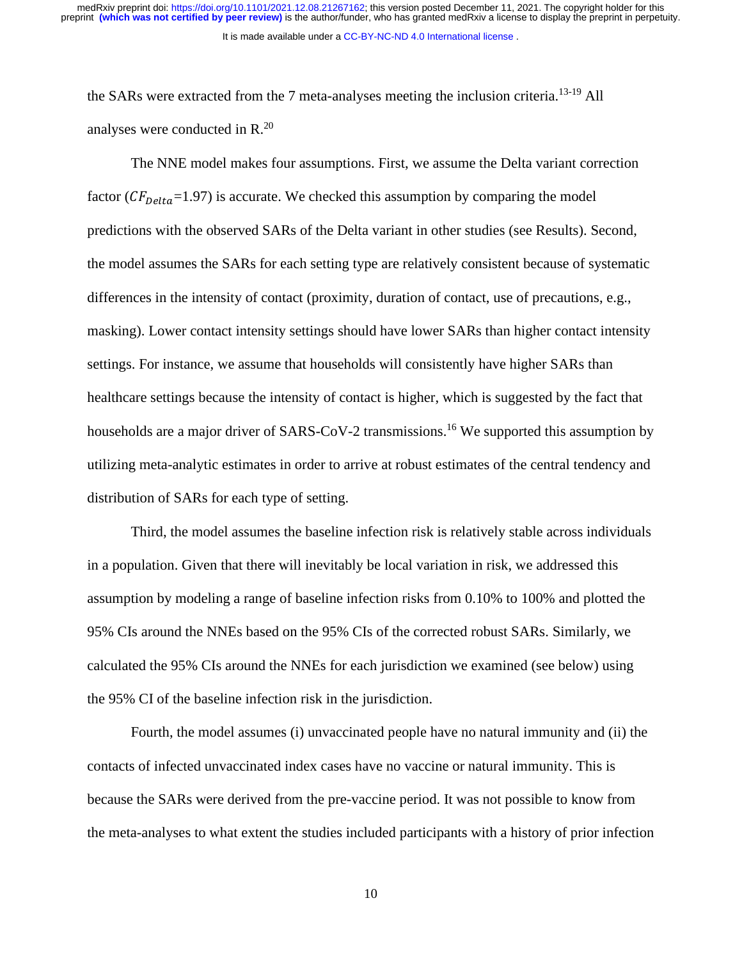It is made available under a [CC-BY-NC-ND 4.0 International license](http://creativecommons.org/licenses/by-nc-nd/4.0/) .

the SARs were extracted from the 7 meta-analyses meeting the inclusion criteria.<sup>13-19</sup> All analyses were conducted in R. 20

The NNE model makes four assumptions. First, we assume the Delta variant correction factor ( $CF_{Delta}=1.97$ ) is accurate. We checked this assumption by comparing the model predictions with the observed SARs of the Delta variant in other studies (see Results). Second, the model assumes the SARs for each setting type are relatively consistent because of systematic differences in the intensity of contact (proximity, duration of contact, use of precautions, e.g., masking). Lower contact intensity settings should have lower SARs than higher contact intensity settings. For instance, we assume that households will consistently have higher SARs than healthcare settings because the intensity of contact is higher, which is suggested by the fact that households are a major driver of SARS-CoV-2 transmissions.<sup>16</sup> We supported this assumption by utilizing meta-analytic estimates in order to arrive at robust estimates of the central tendency and distribution of SARs for each type of setting.

Third, the model assumes the baseline infection risk is relatively stable across individuals in a population. Given that there will inevitably be local variation in risk, we addressed this assumption by modeling a range of baseline infection risks from 0.10% to 100% and plotted the 95% CIs around the NNEs based on the 95% CIs of the corrected robust SARs. Similarly, we calculated the 95% CIs around the NNEs for each jurisdiction we examined (see below) using the 95% CI of the baseline infection risk in the jurisdiction.

Fourth, the model assumes (i) unvaccinated people have no natural immunity and (ii) the contacts of infected unvaccinated index cases have no vaccine or natural immunity. This is because the SARs were derived from the pre-vaccine period. It was not possible to know from the meta-analyses to what extent the studies included participants with a history of prior infection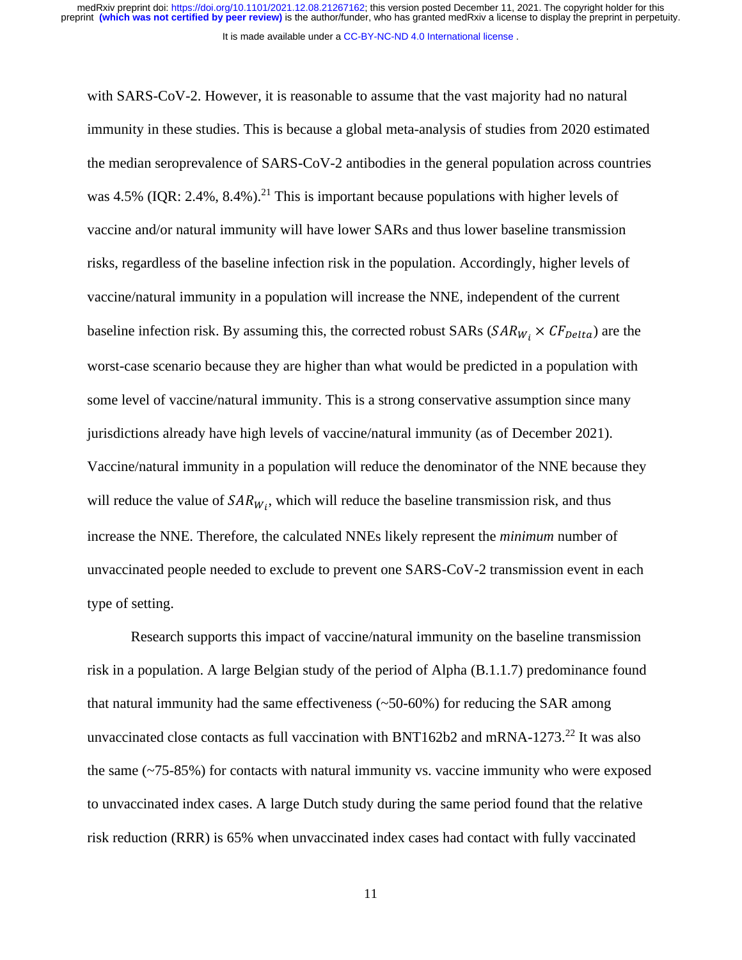It is made available under a [CC-BY-NC-ND 4.0 International license](http://creativecommons.org/licenses/by-nc-nd/4.0/) .

with SARS-CoV-2. However, it is reasonable to assume that the vast majority had no natural immunity in these studies. This is because a global meta-analysis of studies from 2020 estimated the median seroprevalence of SARS-CoV-2 antibodies in the general population across countries was 4.5% (IQR: 2.4%, 8.4%).<sup>21</sup> This is important because populations with higher levels of vaccine and/or natural immunity will have lower SARs and thus lower baseline transmission risks, regardless of the baseline infection risk in the population. Accordingly, higher levels of vaccine/natural immunity in a population will increase the NNE, independent of the current baseline infection risk. By assuming this, the corrected robust SARs ( $SAR_{W_i} \times CF_{Delta}$ ) are the worst-case scenario because they are higher than what would be predicted in a population with some level of vaccine/natural immunity. This is a strong conservative assumption since many jurisdictions already have high levels of vaccine/natural immunity (as of December 2021). Vaccine/natural immunity in a population will reduce the denominator of the NNE because they will reduce the value of  $SAR_{W_i}$ , which will reduce the baseline transmission risk, and thus increase the NNE. Therefore, the calculated NNEs likely represent the *minimum* number of unvaccinated people needed to exclude to prevent one SARS-CoV-2 transmission event in each type of setting.

Research supports this impact of vaccine/natural immunity on the baseline transmission risk in a population. A large Belgian study of the period of Alpha (B.1.1.7) predominance found that natural immunity had the same effectiveness  $(-50-60%)$  for reducing the SAR among unvaccinated close contacts as full vaccination with BNT162b2 and mRNA-1273.<sup>22</sup> It was also the same  $(-75-85%)$  for contacts with natural immunity vs. vaccine immunity who were exposed to unvaccinated index cases. A large Dutch study during the same period found that the relative risk reduction (RRR) is 65% when unvaccinated index cases had contact with fully vaccinated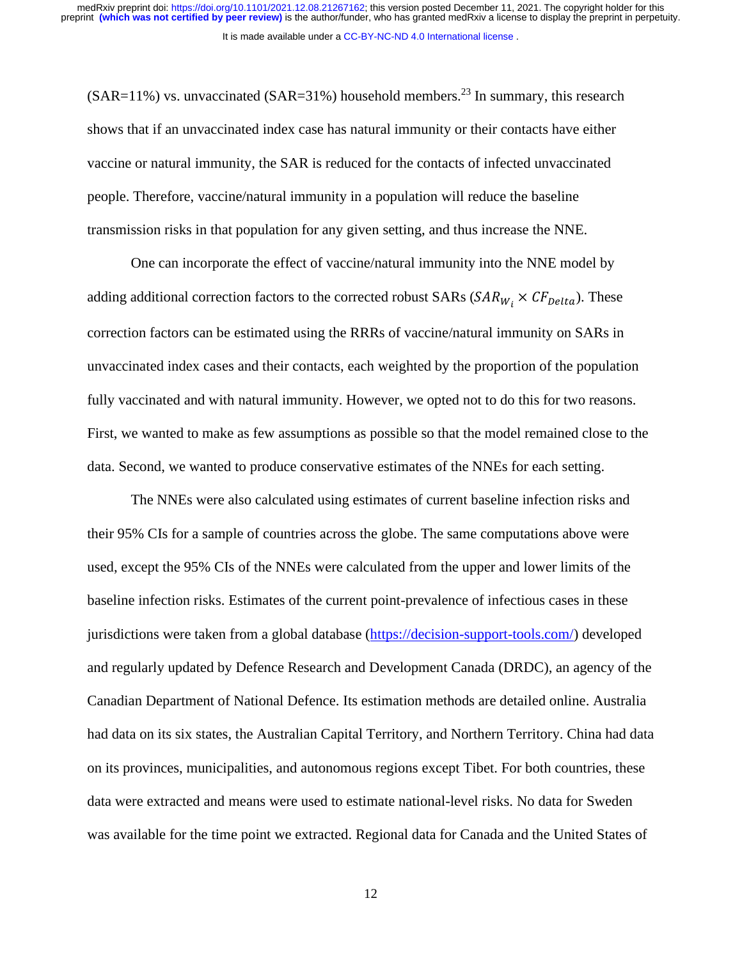medRxiv preprint doi: [https://doi.org/10.1101/2021.12.08.21267162;](https://doi.org/10.1101/2021.12.08.21267162) this version posted December 11, 2021. The copyright holder for this<br>preprint (which was not certified by peer review) is the author/funder, who has grante

It is made available under a [CC-BY-NC-ND 4.0 International license](http://creativecommons.org/licenses/by-nc-nd/4.0/) .

 $(SAR=11\%)$  vs. unvaccinated  $(SAR=31\%)$  household members.<sup>23</sup> In summary, this research shows that if an unvaccinated index case has natural immunity or their contacts have either vaccine or natural immunity, the SAR is reduced for the contacts of infected unvaccinated people. Therefore, vaccine/natural immunity in a population will reduce the baseline transmission risks in that population for any given setting, and thus increase the NNE.

One can incorporate the effect of vaccine/natural immunity into the NNE model by adding additional correction factors to the corrected robust SARs ( $SAR_{W_i} \times CF_{Delta}$ ). These correction factors can be estimated using the RRRs of vaccine/natural immunity on SARs in unvaccinated index cases and their contacts, each weighted by the proportion of the population fully vaccinated and with natural immunity. However, we opted not to do this for two reasons. First, we wanted to make as few assumptions as possible so that the model remained close to the data. Second, we wanted to produce conservative estimates of the NNEs for each setting.

The NNEs were also calculated using estimates of current baseline infection risks and their 95% CIs for a sample of countries across the globe. The same computations above were used, except the 95% CIs of the NNEs were calculated from the upper and lower limits of the baseline infection risks. Estimates of the current point-prevalence of infectious cases in these jurisdictions were taken from a global database [\(https://decision-support-tools.com/\)](https://decision-support-tools.com/) developed and regularly updated by Defence Research and Development Canada (DRDC), an agency of the Canadian Department of National Defence. Its estimation methods are detailed online. Australia had data on its six states, the Australian Capital Territory, and Northern Territory. China had data on its provinces, municipalities, and autonomous regions except Tibet. For both countries, these data were extracted and means were used to estimate national-level risks. No data for Sweden was available for the time point we extracted. Regional data for Canada and the United States of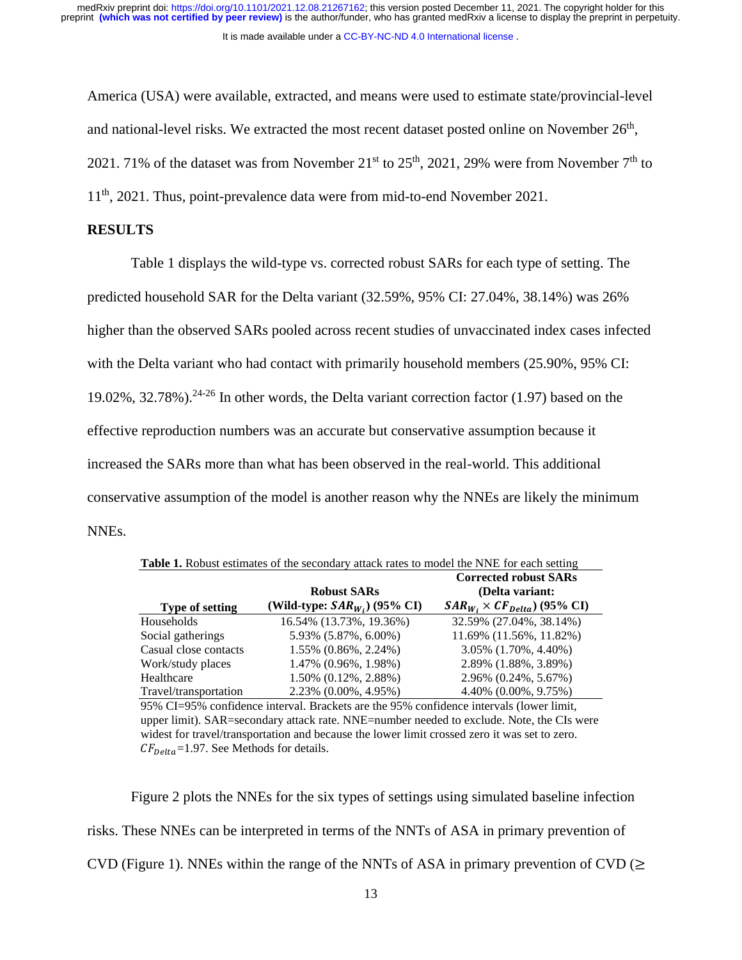It is made available under a [CC-BY-NC-ND 4.0 International license](http://creativecommons.org/licenses/by-nc-nd/4.0/) .

America (USA) were available, extracted, and means were used to estimate state/provincial-level and national-level risks. We extracted the most recent dataset posted online on November  $26<sup>th</sup>$ , 2021. 71% of the dataset was from November  $21^{st}$  to  $25^{th}$ , 2021, 29% were from November  $7^{th}$  to 11<sup>th</sup>, 2021. Thus, point-prevalence data were from mid-to-end November 2021.

#### **RESULTS**

Table 1 displays the wild-type vs. corrected robust SARs for each type of setting. The predicted household SAR for the Delta variant (32.59%, 95% CI: 27.04%, 38.14%) was 26% higher than the observed SARs pooled across recent studies of unvaccinated index cases infected with the Delta variant who had contact with primarily household members (25.90%, 95% CI: 19.02%,  $32.78\%$ ).<sup>24-26</sup> In other words, the Delta variant correction factor (1.97) based on the effective reproduction numbers was an accurate but conservative assumption because it increased the SARs more than what has been observed in the real-world. This additional conservative assumption of the model is another reason why the NNEs are likely the minimum NNEs.

| Table 1. Robust estimates of the secondary attack rates to model the NNE for each setting |                                                                                                                                                     |                                        |  |  |  |  |  |  |  |
|-------------------------------------------------------------------------------------------|-----------------------------------------------------------------------------------------------------------------------------------------------------|----------------------------------------|--|--|--|--|--|--|--|
| <b>Corrected robust SARs</b><br>(Delta variant:<br><b>Robust SARs</b>                     |                                                                                                                                                     |                                        |  |  |  |  |  |  |  |
| <b>Type of setting</b>                                                                    | (Wild-type: $SAR_{W_i}$ ) (95% CI)                                                                                                                  | $SAR_{W_i} \times CF_{Delta}$ (95% CI) |  |  |  |  |  |  |  |
| Households                                                                                | 16.54% (13.73%, 19.36%)                                                                                                                             | 32.59% (27.04%, 38.14%)                |  |  |  |  |  |  |  |
| Social gatherings                                                                         | 5.93% (5.87%, 6.00%)                                                                                                                                | 11.69% (11.56%, 11.82%)                |  |  |  |  |  |  |  |
| Casual close contacts                                                                     | 1.55% (0.86%, 2.24%)                                                                                                                                | $3.05\%$ $(1.70\%, 4.40\%)$            |  |  |  |  |  |  |  |
| Work/study places                                                                         | 1.47% (0.96%, 1.98%)                                                                                                                                | 2.89% (1.88%, 3.89%)                   |  |  |  |  |  |  |  |
| Healthcare                                                                                | $1.50\%$ (0.12\%, 2.88\%)                                                                                                                           | 2.96% (0.24%, 5.67%)                   |  |  |  |  |  |  |  |
| Travel/transportation                                                                     | $2.23\%$ (0.00%, 4.95%)                                                                                                                             | $4.40\%$ $(0.00\%, 9.75\%)$            |  |  |  |  |  |  |  |
|                                                                                           | $0.50$ at $0.50$ $\ldots$ $0.1$ $\ldots$ $1.1$ $\ldots$ $1.1$ $\ldots$ $1.1$ $\ldots$ $1.050$ $\ldots$ $0.1$ $\ldots$ $1.01$ $\ldots$ $1!$ $\ldots$ |                                        |  |  |  |  |  |  |  |

95% CI=95% confidence interval. Brackets are the 95% confidence intervals (lower limit, upper limit). SAR=secondary attack rate. NNE=number needed to exclude. Note, the CIs were widest for travel/transportation and because the lower limit crossed zero it was set to zero.  $CF_{\text{Delta}}=1.97$ . See Methods for details.

Figure 2 plots the NNEs for the six types of settings using simulated baseline infection risks. These NNEs can be interpreted in terms of the NNTs of ASA in primary prevention of CVD (Figure 1). NNEs within the range of the NNTs of ASA in primary prevention of CVD ( $\geq$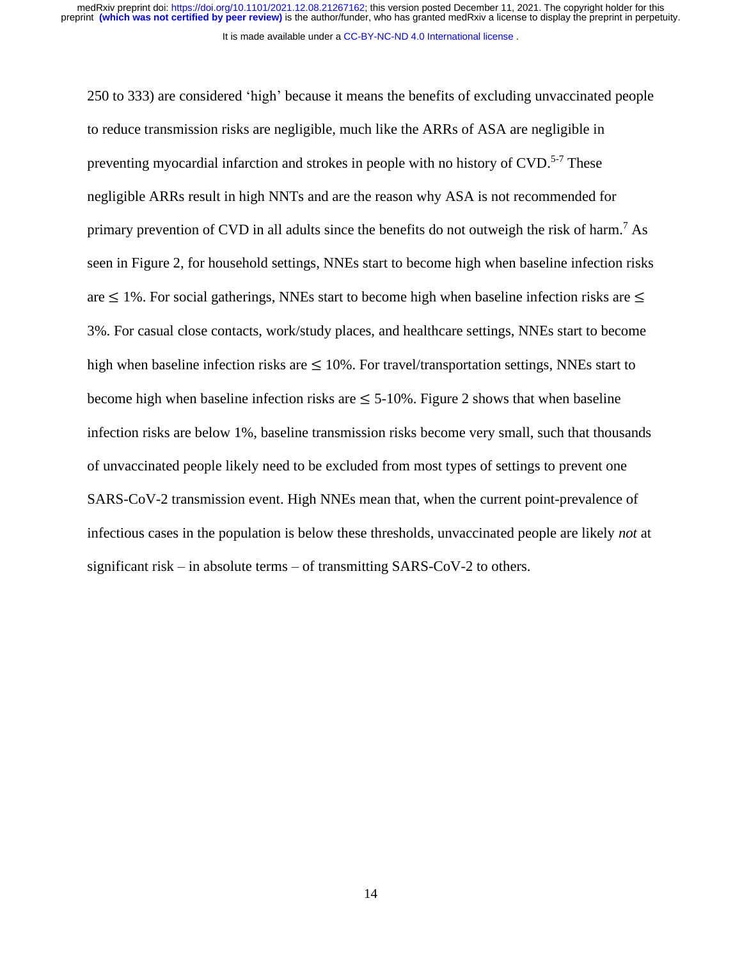It is made available under a [CC-BY-NC-ND 4.0 International license](http://creativecommons.org/licenses/by-nc-nd/4.0/) .

250 to 333) are considered 'high' because it means the benefits of excluding unvaccinated people to reduce transmission risks are negligible, much like the ARRs of ASA are negligible in preventing myocardial infarction and strokes in people with no history of CVD.<sup>5-7</sup> These negligible ARRs result in high NNTs and are the reason why ASA is not recommended for primary prevention of CVD in all adults since the benefits do not outweigh the risk of harm.<sup>7</sup> As seen in Figure 2, for household settings, NNEs start to become high when baseline infection risks are  $\leq$  1%. For social gatherings, NNEs start to become high when baseline infection risks are  $\leq$ 3%. For casual close contacts, work/study places, and healthcare settings, NNEs start to become high when baseline infection risks are  $\leq 10\%$ . For travel/transportation settings, NNEs start to become high when baseline infection risks are  $\leq 5{\text -}10\%$ . Figure 2 shows that when baseline infection risks are below 1%, baseline transmission risks become very small, such that thousands of unvaccinated people likely need to be excluded from most types of settings to prevent one SARS-CoV-2 transmission event. High NNEs mean that, when the current point-prevalence of infectious cases in the population is below these thresholds, unvaccinated people are likely *not* at significant risk – in absolute terms – of transmitting SARS-CoV-2 to others.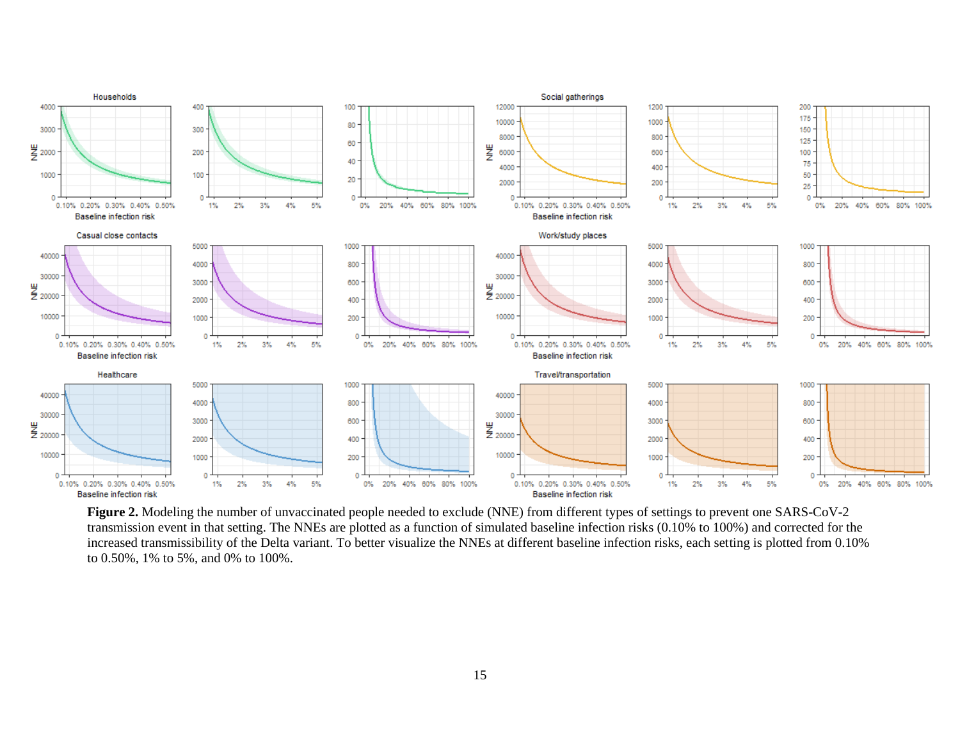

**Figure 2.** Modeling the number of unvaccinated people needed to exclude (NNE) from different types of settings to prevent one SARS-CoV-2 transmission event in that setting. The NNEs are plotted as a function of simulated baseline infection risks (0.10% to 100%) and corrected for the increased transmissibility of the Delta variant. To better visualize the NNEs at different baseline infection risks, each setting is plotted from 0.10% to 0.50%, 1% to 5%, and 0% to 100%.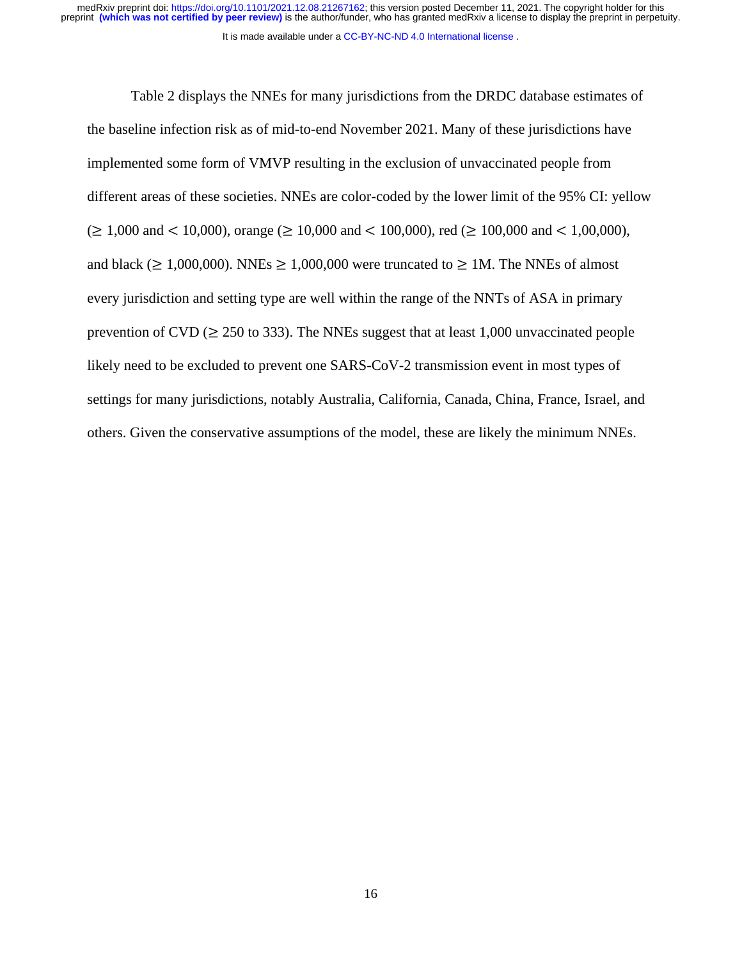medRxiv preprint doi: [https://doi.org/10.1101/2021.12.08.21267162;](https://doi.org/10.1101/2021.12.08.21267162) this version posted December 11, 2021. The copyright holder for this<br>preprint (which was not certified by peer review) is the author/funder, who has grante

It is made available under a [CC-BY-NC-ND 4.0 International license](http://creativecommons.org/licenses/by-nc-nd/4.0/) .

Table 2 displays the NNEs for many jurisdictions from the DRDC database estimates of the baseline infection risk as of mid-to-end November 2021. Many of these jurisdictions have implemented some form of VMVP resulting in the exclusion of unvaccinated people from different areas of these societies. NNEs are color-coded by the lower limit of the 95% CI: yellow  $(\geq 1,000 \text{ and } 10,000)$ , orange  $(\geq 10,000 \text{ and } 100,000)$ , red  $(\geq 100,000 \text{ and } 1,00,000)$ , and black ( $\geq 1,000,000$ ). NNEs  $\geq 1,000,000$  were truncated to  $\geq 1$ M. The NNEs of almost every jurisdiction and setting type are well within the range of the NNTs of ASA in primary prevention of CVD ( $\geq$  250 to 333). The NNEs suggest that at least 1,000 unvaccinated people likely need to be excluded to prevent one SARS-CoV-2 transmission event in most types of settings for many jurisdictions, notably Australia, California, Canada, China, France, Israel, and others. Given the conservative assumptions of the model, these are likely the minimum NNEs.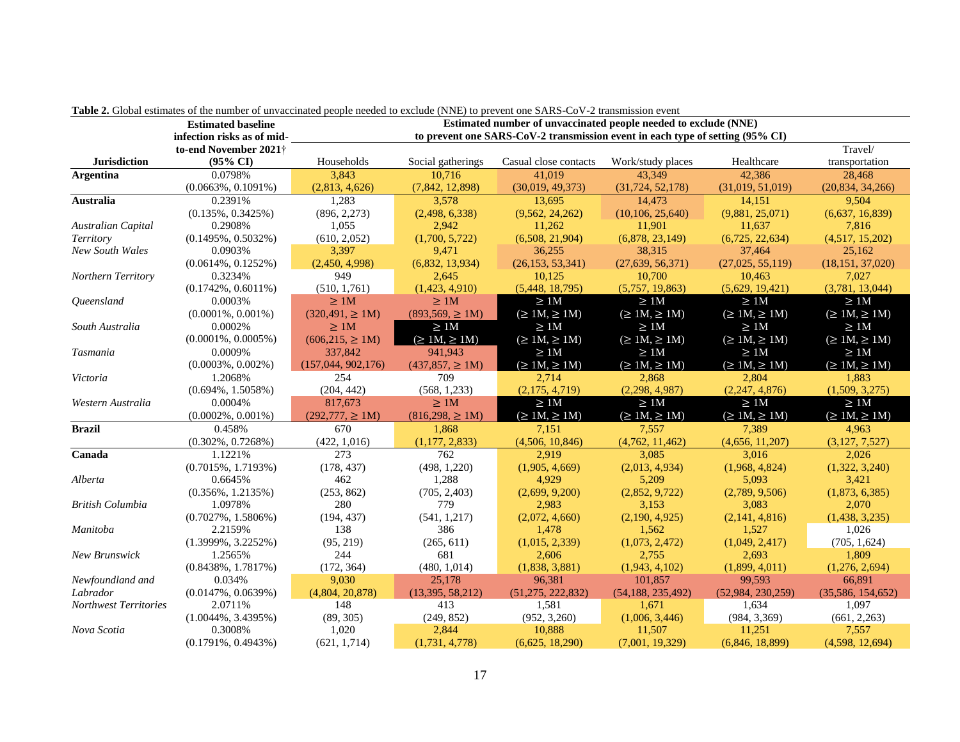|                              | able as choose commute of the humori of any accumule people needed to exclude $(1+iD)$ to prevent one brifted $\infty$ . $D$ transmission event<br>Estimated number of unvaccinated people needed to exclude (NNE)<br><b>Estimated baseline</b> |                                                                               |                      |                       |                                |                      |                      |  |  |
|------------------------------|-------------------------------------------------------------------------------------------------------------------------------------------------------------------------------------------------------------------------------------------------|-------------------------------------------------------------------------------|----------------------|-----------------------|--------------------------------|----------------------|----------------------|--|--|
|                              | infection risks as of mid-                                                                                                                                                                                                                      | to prevent one SARS-CoV-2 transmission event in each type of setting (95% CI) |                      |                       |                                |                      |                      |  |  |
|                              | to-end November 2021†                                                                                                                                                                                                                           |                                                                               |                      |                       |                                |                      | Travel/              |  |  |
| <b>Jurisdiction</b>          | $(95\% \text{ CI})$                                                                                                                                                                                                                             | Households                                                                    | Social gatherings    | Casual close contacts | Work/study places              | Healthcare           | transportation       |  |  |
| <b>Argentina</b>             | 0.0798%                                                                                                                                                                                                                                         | 3,843                                                                         | 10.716               | 41.019                | 43.349                         | 42,386               | 28,468               |  |  |
|                              | $(0.0663\%, 0.1091\%)$                                                                                                                                                                                                                          | (2,813, 4,626)                                                                | (7,842, 12,898)      | (30,019, 49,373)      | (31, 724, 52, 178)             | (31,019, 51,019)     | (20,834, 34,266)     |  |  |
| <b>Australia</b>             | 0.2391%                                                                                                                                                                                                                                         | 1,283                                                                         | 3,578                | 13.695                | 14.473                         | 14,151               | 9,504                |  |  |
|                              | $(0.135\%, 0.3425\%)$                                                                                                                                                                                                                           | (896, 2, 273)                                                                 | (2,498, 6,338)       | (9,562, 24,262)       | (10, 106, 25, 640)             | (9,881, 25,071)      | (6,637, 16,839)      |  |  |
| Australian Capital           | 0.2908%                                                                                                                                                                                                                                         | 1,055                                                                         | 2,942                | 11,262                | 11,901                         | 11,637               | 7,816                |  |  |
| <b>Territory</b>             | $(0.1495\%, 0.5032\%)$                                                                                                                                                                                                                          | (610, 2, 052)                                                                 | (1,700, 5,722)       | (6,508, 21,904)       | (6,878, 23,149)                | (6,725, 22,634)      | (4,517, 15,202)      |  |  |
| <b>New South Wales</b>       | 0.0903%                                                                                                                                                                                                                                         | 3,397                                                                         | 9,471                | 36,255                | 38,315                         | 37,464               | 25,162               |  |  |
|                              | $(0.0614\%, 0.1252\%)$                                                                                                                                                                                                                          | (2,450, 4,998)                                                                | (6,832, 13,934)      | (26, 153, 53, 341)    | (27,639, 56,371)               | (27,025, 55,119)     | (18, 151, 37, 020)   |  |  |
| Northern Territory           | 0.3234%                                                                                                                                                                                                                                         | 949                                                                           | 2,645                | 10,125                | 10,700                         | 10,463               | 7,027                |  |  |
|                              | $(0.1742\%, 0.6011\%)$                                                                                                                                                                                                                          | (510, 1,761)                                                                  | (1,423, 4,910)       | (5,448, 18,795)       | (5,757, 19,863)                | (5,629, 19,421)      | (3,781, 13,044)      |  |  |
| <i><u>Oueensland</u></i>     | 0.0003%                                                                                                                                                                                                                                         | $\geq$ 1M                                                                     | $\geq$ 1M            | $\geq$ 1M             | $\geq 1M$                      | $\geq$ 1M            | $\geq$ 1M            |  |  |
|                              | $(0.0001\%, 0.001\%)$                                                                                                                                                                                                                           | $(320, 491) \ge 1M$                                                           | $(893,569) \ge 1M$   | $(\geq 1M, \geq 1M)$  | $(\geq \overline{1M}) \geq 1M$ | $(\geq 1M, \geq 1M)$ | $(\geq 1M, \geq 1M)$ |  |  |
| South Australia              | 0.0002%                                                                                                                                                                                                                                         | $\geq$ 1M                                                                     | $\geq 1M$            | $\geq 1M$             | $\geq 1M$                      | $\geq 1M$            | $\geq 1M$            |  |  |
|                              | $(0.0001\%, 0.0005\%)$                                                                                                                                                                                                                          | $(606, 215, \geq 1M)$                                                         | $(\geq 1M, \geq 1M)$ | $(\geq 1M, \geq 1M)$  | $(\geq 1M, \geq 1M)$           | $(\geq 1M, \geq 1M)$ | $(\geq 1M, \geq 1M)$ |  |  |
| Tasmania                     | 0.0009%                                                                                                                                                                                                                                         | 337,842                                                                       | 941,943              | $\geq 1M$             | $\geq 1M$                      | $\geq 1M$            | $\geq 1M$            |  |  |
|                              | $(0.0003\%, 0.002\%)$                                                                                                                                                                                                                           | (157, 044, 902, 176)                                                          | $(437,857, \geq 1M)$ | $(\geq 1M, \geq 1M)$  | $(\geq 1M, \geq 1M)$           | $(\geq 1M, \geq 1M)$ | $(\geq 1M, \geq 1M)$ |  |  |
| Victoria                     | 1.2068%                                                                                                                                                                                                                                         | 254                                                                           | 709                  | 2.714                 | 2.868                          | 2.804                | 1.883                |  |  |
|                              | $(0.694\%, 1.5058\%)$                                                                                                                                                                                                                           | (204, 442)                                                                    | (568, 1, 233)        | (2,175, 4,719)        | (2,298, 4,987)                 | (2,247, 4,876)       | (1,509, 3,275)       |  |  |
| Western Australia            | 0.0004%                                                                                                                                                                                                                                         | 817,673                                                                       | $\geq$ 1M            | $\geq 1M$             | $\geq 1M$                      | $\geq 1M$            | $\geq 1M$            |  |  |
|                              | $(0.0002\%, 0.001\%)$                                                                                                                                                                                                                           | $(292,777) \ge 1M$                                                            | $(816,298, \geq 1M)$ | $(\geq 1M, \geq 1M)$  | $(\geq 1M, \geq 1M)$           | $(\geq 1M, \geq 1M)$ | $(\geq 1M, \geq 1M)$ |  |  |
| <b>Brazil</b>                | 0.458%                                                                                                                                                                                                                                          | 670                                                                           | 1,868                | 7,151                 | 7,557                          | 7,389                | 4,963                |  |  |
|                              | $(0.302\%, 0.7268\%)$                                                                                                                                                                                                                           | (422, 1, 016)                                                                 | (1, 177, 2, 833)     | (4,506, 10,846)       | (4,762, 11,462)                | (4,656, 11,207)      | (3, 127, 7, 527)     |  |  |
| Canada                       | 1.1221%                                                                                                                                                                                                                                         | 273                                                                           | 762                  | 2,919                 | 3,085                          | 3,016                | 2,026                |  |  |
|                              | $(0.7015\%, 1.7193\%)$                                                                                                                                                                                                                          | (178, 437)                                                                    | (498, 1,220)         | (1,905, 4,669)        | (2,013, 4,934)                 | (1,968, 4,824)       | (1,322, 3,240)       |  |  |
| Alberta                      | 0.6645%                                                                                                                                                                                                                                         | 462                                                                           | 1,288                | 4,929                 | 5,209                          | 5,093                | 3,421                |  |  |
|                              | $(0.356\%, 1.2135\%)$                                                                                                                                                                                                                           | (253, 862)                                                                    | (705, 2,403)         | (2,699, 9,200)        | (2,852, 9,722)                 | (2,789, 9,506)       | (1,873, 6,385)       |  |  |
| <b>British Columbia</b>      | 1.0978%                                                                                                                                                                                                                                         | 280                                                                           | 779                  | 2,983                 | 3,153                          | 3,083                | 2,070                |  |  |
|                              | $(0.7027\%, 1.5806\%)$                                                                                                                                                                                                                          | (194, 437)                                                                    | (541, 1, 217)        | (2,072, 4,660)        | (2,190, 4,925)                 | (2,141, 4,816)       | (1,438, 3,235)       |  |  |
| Manitoba                     | 2.2159%                                                                                                                                                                                                                                         | 138                                                                           | 386                  | 1,478                 | 1,562                          | 1,527                | 1,026                |  |  |
|                              | $(1.3999\%, 3.2252\%)$                                                                                                                                                                                                                          | (95, 219)                                                                     | (265, 611)           | (1,015, 2,339)        | (1,073, 2,472)                 | (1,049, 2,417)       | (705, 1,624)         |  |  |
| New Brunswick                | 1.2565%                                                                                                                                                                                                                                         | 244                                                                           | 681                  | 2,606                 | 2,755                          | 2,693                | 1,809                |  |  |
|                              | $(0.8438\%, 1.7817\%)$                                                                                                                                                                                                                          | (172, 364)                                                                    | (480, 1, 014)        | (1,838, 3,881)        | (1,943, 4,102)                 | (1,899, 4,011)       | (1,276, 2,694)       |  |  |
| Newfoundland and             | 0.034%                                                                                                                                                                                                                                          | 9,030                                                                         | 25,178               | 96,381                | 101,857                        | 99,593               | 66,891               |  |  |
| Labrador                     | $(0.0147\%, 0.0639\%)$                                                                                                                                                                                                                          | (4,804, 20,878)                                                               | (13,395,58,212)      | (51,275, 222,832)     | (54, 188, 235, 492)            | (52,984, 230,259)    | (35,586, 154, 652)   |  |  |
| <b>Northwest Territories</b> | 2.0711%                                                                                                                                                                                                                                         | 148                                                                           | 413                  | 1,581                 | 1,671                          | 1,634                | 1,097                |  |  |
|                              | $(1.0044\%, 3.4395\%)$                                                                                                                                                                                                                          | (89, 305)                                                                     | (249, 852)           | (952, 3,260)          | (1,006, 3,446)                 | (984, 3,369)         | (661, 2,263)         |  |  |
| Nova Scotia                  | 0.3008%                                                                                                                                                                                                                                         | 1,020                                                                         | 2,844                | 10,888                | 11,507                         | 11,251               | 7,557                |  |  |
|                              | $(0.1791\%, 0.4943\%)$                                                                                                                                                                                                                          | (621, 1, 714)                                                                 | (1,731, 4,778)       | (6,625, 18,290)       | (7,001, 19,329)                | (6,846, 18,899)      | (4,598, 12,694)      |  |  |

|  |  | <b>Table 2.</b> Global estimates of the number of unvaccinated people needed to exclude (NNE) to prevent one SARS-CoV-2 transmission event |
|--|--|--------------------------------------------------------------------------------------------------------------------------------------------|
|  |  |                                                                                                                                            |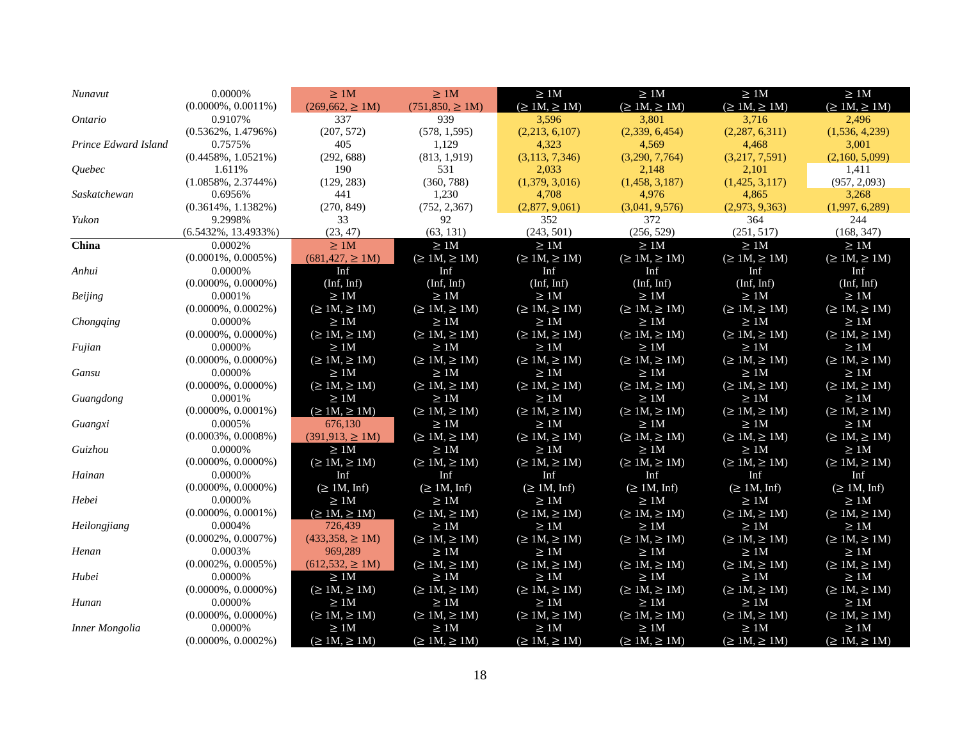| Nunavut               | 0.0000%                 | >1M                   | $\geq 1M$            | $\geq 1M$            | $\geq 1M$            | $\geq 1{\rm M}$      | $\geq 1{\rm M}$      |
|-----------------------|-------------------------|-----------------------|----------------------|----------------------|----------------------|----------------------|----------------------|
|                       | $(0.0000\%, 0.0011\%)$  | $(269, 662, \geq 1M)$ | $(751,850) \ge 1M$   | $(\geq 1M, \geq 1M)$ | $(\geq 1M, \geq 1M)$ | $(\geq 1M, \geq 1M)$ | $(\geq 1M, \geq 1M)$ |
| <i>Ontario</i>        | 0.9107%                 | 337                   | 939                  | 3,596                | 3.801                | 3.716                | 2.496                |
|                       | $(0.5362\%, 1.4796\%)$  | (207, 572)            | (578, 1, 595)        | (2,213, 6,107)       | (2,339, 6,454)       | (2,287, 6,311)       | (1,536, 4,239)       |
| Prince Edward Island  | 0.7575%                 | 405                   | 1,129                | 4,323                | 4,569                | 4,468                | 3,001                |
|                       | $(0.4458\%, 1.0521\%)$  | (292, 688)            | (813, 1, 919)        | (3, 113, 7, 346)     | (3,290, 7,764)       | (3,217, 7,591)       | (2,160, 5,099)       |
| <i><u>Ouebec</u></i>  | 1.611%                  | 190                   | 531                  | 2,033                | 2,148                | 2,101                | 1,411                |
|                       | $(1.0858\%, 2.3744\%)$  | (129, 283)            | (360, 788)           | (1,379, 3,016)       | (1,458, 3,187)       | (1,425, 3,117)       | (957, 2,093)         |
| Saskatchewan          | 0.6956%                 | 441                   | 1,230                | 4,708                | 4,976                | 4,865                | 3,268                |
|                       | $(0.3614\%, 1.1382\%)$  | (270, 849)            | (752, 2, 367)        | (2,877, 9,061)       | (3,041, 9,576)       | (2,973, 9,363)       | (1,997, 6,289)       |
| Yukon                 | 9.2998%                 | 33                    | 92                   | 352                  | 372                  | 364                  | 244                  |
|                       | $(6.5432\%, 13.4933\%)$ | (23, 47)              | (63, 131)            | (243, 501)           | (256, 529)           | (251, 517)           | (168, 347)           |
| China                 | 0.0002%                 | $\geq 1M$             | $\geq 1M$            | $\geq 1M$            | $\geq 1M$            | $\geq 1M$            | $\geq$ 1M            |
|                       | $(0.0001\%, 0.0005\%)$  | $(681, 427, \geq 1M)$ | $(\geq 1M, \geq 1M)$ | $(\geq 1M, \geq 1M)$ | $(\geq 1M, \geq 1M)$ | $(\geq 1M, \geq 1M)$ | $(\geq 1M, \geq 1M)$ |
| Anhui                 | 0.0000%                 | Inf                   | Inf                  | Inf                  | Inf                  | Inf                  | Inf                  |
|                       | $(0.0000\%, 0.0000\%)$  | (Inf, Inf)            | (Inf, Inf)           | (Inf, Inf)           | (Inf, Inf)           | (Inf, Inf)           | (Inf, Inf)           |
| <b>Beijing</b>        | 0.0001%                 | $\geq 1M$             | $\geq 1M$            | $\geq 1M$            | $\geq 1M$            | $\geq 1M$            | $\geq 1M$            |
|                       | $(0.0000\%, 0.0002\%)$  | $(\geq 1M, \geq 1M)$  | $(\geq 1M, \geq 1M)$ | $(\geq 1M, \geq 1M)$ | $(\geq 1M, \geq 1M)$ | $(\geq 1M, \geq 1M)$ | $(\geq 1M, \geq 1M)$ |
| Chongqing             | 0.0000%                 | $\geq$ 1M             | $\geq 1M$            | $\geq 1M$            | $\geq 1{\rm M}$      | $\geq 1M$            | $\geq 1M$            |
|                       | $(0.0000\%, 0.0000\%)$  | $(\geq 1M, \geq 1M)$  | $(\geq 1M, \geq 1M)$ | $(\geq 1M, \geq 1M)$ | $(\geq 1M, \geq 1M)$ | $(\geq 1M, \geq 1M)$ | $(\geq 1M, \geq 1M)$ |
| Fujian                | 0.0000%                 | $\geq 1{\rm M}$       | $\geq 1M$            | $\geq 1M$            | $\geq 1{\rm M}$      | $\geq 1{\rm M}$      | $\geq 1{\rm M}$      |
|                       | $(0.0000\%, 0.0000\%)$  | $(\geq 1M, \geq 1M)$  | $(\geq 1M, \geq 1M)$ | $(\geq 1M, \geq 1M)$ | $(\geq 1M, \geq 1M)$ | $(\geq 1M, \geq 1M)$ | $(\geq 1M, \geq 1M)$ |
| Gansu                 | 0.0000%                 | $\geq$ 1M             | $\geq$ 1M            | $\geq 1M$            | $\geq$ 1M            | $\geq 1M$            | $\geq 1M$            |
|                       | $(0.0000\%, 0.0000\%)$  | $(\geq 1M, \geq 1M)$  | $(\geq 1M, \geq 1M)$ | $(\geq 1M, \geq 1M)$ | $(\geq 1M, \geq 1M)$ | $(\geq 1M, \geq 1M)$ | $(\geq 1M, \geq 1M)$ |
| Guangdong             | 0.0001%                 | $\geq$ 1M             | $\geq$ 1M            | $\geq 1M$            | $\geq 1{\rm M}$      | $\geq 1M$            | $\geq 1M$            |
|                       | $(0.0000\%, 0.0001\%)$  | $(\geq 1M, \geq 1M)$  | $(\geq 1M, \geq 1M)$ | $(\geq 1M, \geq 1M)$ | $(\geq 1M, \geq 1M)$ | $(\geq 1M, \geq 1M)$ | $(\geq 1M, \geq 1M)$ |
| Guangxi               | 0.0005%                 | 676.130               | $\geq 1M$            | $\geq 1M$            | $\geq 1M$            | $\geq 1M$            | $\geq$ 1M            |
|                       | $(0.0003\%, 0.0008\%)$  | $(391, 913, \geq 1)$  | $(\geq 1M, \geq 1M)$ | $(\geq 1M, \geq 1M)$ | $(\geq 1M, \geq 1M)$ | $(\geq 1M, \geq 1M)$ | $(\geq 1M, \geq 1M)$ |
| Guizhou               | 0.0000%                 | $\geq 1M$             | $\geq 1M$            | $\geq 1M$            | $\geq 1M$            | $\geq 1M$            | $\geq$ 1M            |
|                       | $(0.0000\%, 0.0000\%)$  | $(\geq 1M, \geq 1M)$  | $(\geq 1M, \geq 1M)$ | $(\geq 1M, \geq 1M)$ | $(\geq 1M, \geq 1M)$ | $(\geq 1M, \geq 1M)$ | $(\geq 1M, \geq 1M)$ |
| Hainan                | 0.0000%                 | Inf                   | Inf                  | Inf                  | Inf                  | Inf                  | Inf                  |
|                       | $(0.0000\%, 0.0000\%)$  | $(\geq 1M, Inf)$      | $(\geq 1M, Inf)$     | $(\geq 1M, Inf)$     | $(\geq 1M, Inf)$     | $(\geq 1M, Inf)$     | $(\geq 1M, Inf)$     |
| Hebei                 | 0.0000%                 | $\geq$ 1M             | $\geq 1M$            | $\geq 1{\rm M}$      | $\geq 1{\rm M}$      | $\geq 1M$            | $\geq 1{\rm M}$      |
|                       | $(0.0000\%, 0.0001\%)$  | $(\geq 1M, \geq 1M)$  | $(\geq 1M, \geq 1M)$ | $(\geq 1M, \geq 1M)$ | $(\geq 1M, \geq 1M)$ | $(\geq 1M, \geq 1M)$ | $(\geq 1M, \geq 1M)$ |
| Heilongjiang          | 0.0004%                 | 726,439               | $\geq 1{\rm M}$      | $\geq 1M$            | $\geq 1{\rm M}$      | $\geq$ 1M            | $\geq 1M$            |
|                       | $(0.0002\%, 0.0007\%)$  | $(433,358, \geq 1M)$  | $(\geq 1M, \geq 1M)$ | $(\geq 1M, \geq 1M)$ | $(\geq 1M, \geq 1M)$ | $(\geq 1M, \geq 1M)$ | $(\geq 1M, \geq 1M)$ |
| Henan                 | 0.0003%                 | 969,289               | $\geq 1M$            | $\geq$ 1M            | $\geq 1M$            | $\geq 1M$            | $\geq 1M$            |
|                       | $(0.0002\%, 0.0005\%)$  | $(612, 532) \ge 1M$   | $(\geq 1M, \geq 1M)$ | $(\geq 1M, \geq 1M)$ | $(\geq 1M, \geq 1M)$ | $(\geq 1M, \geq 1M)$ | $(\geq 1M, \geq 1M)$ |
| Hubei                 | 0.0000%                 | $\geq$ 1M             | $\geq$ 1M            | $\geq 1M$            | $\geq 1{\rm M}$      | $\geq 1M$            | $\geq 1{\rm M}$      |
|                       | $(0.0000\%, 0.0000\%)$  | $(\geq 1M, \geq 1M)$  | $(\geq 1M, \geq 1M)$ | $(\geq 1M, \geq 1M)$ | $(\geq 1M, \geq 1M)$ | $(\geq 1M, \geq 1M)$ | $(\geq 1M, \geq 1M)$ |
| Hunan                 | 0.0000%                 | $\geq 1M$             | $\geq 1M$            | $\geq 1M$            | $\geq 1M$            | $\geq 1M$            | $\geq 1{\rm M}$      |
|                       | $(0.0000\%, 0.0000\%)$  | $(\geq 1M, \geq 1M)$  | $(\geq 1M, \geq 1M)$ | $(\geq 1M, \geq 1M)$ | $(\geq 1M, \geq 1M)$ | $(\geq 1M, \geq 1M)$ | $(\geq 1M, \geq 1M)$ |
| <b>Inner Mongolia</b> | 0.0000%                 | $\geq$ 1M             | $\geq 1M$            | $\geq$ 1M            | $\geq$ 1M            | $\geq$ 1M            | $\geq$ 1M            |
|                       | $(0.0000\%, 0.0002\%)$  | $(\geq 1M, \geq 1M)$  | $(\geq 1M, \geq 1M)$ | $(\geq 1M, \geq 1M)$ | $(\geq 1M, \geq 1M)$ | $(\geq 1M, \geq 1M)$ | $(\geq 1M, \geq 1M)$ |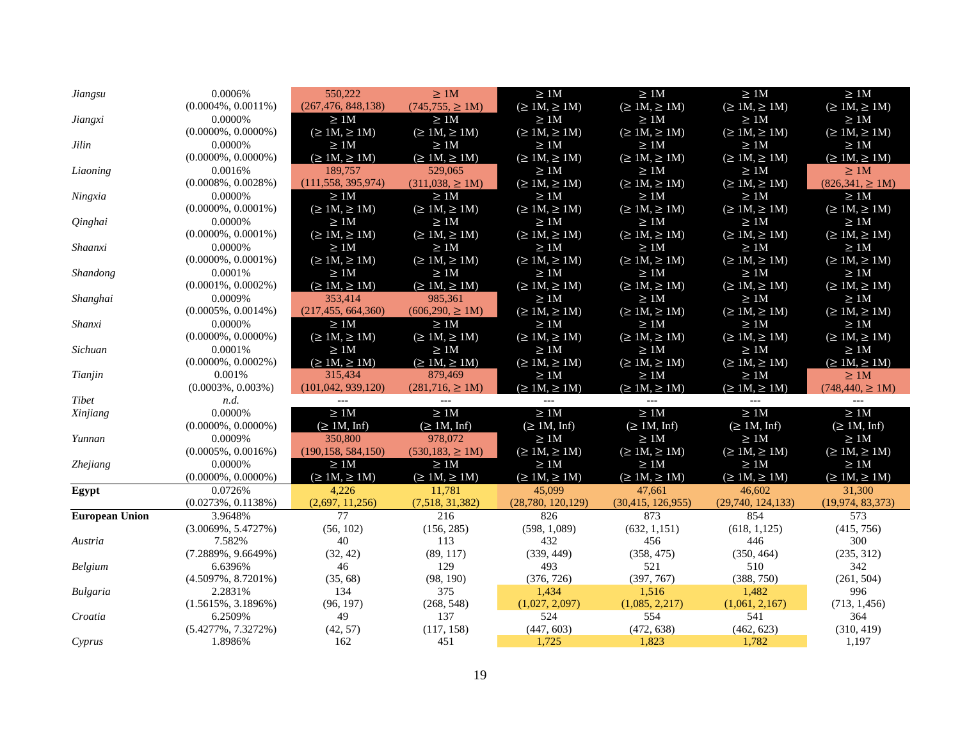| Jiangsu               | 0.0006%                           | 550,222              | $\geq$ 1M             | $\geq 1{\rm M}$         | $\geq 1{\rm M}$         | $\geq 1M$            | $\geq 1{\rm M}$       |
|-----------------------|-----------------------------------|----------------------|-----------------------|-------------------------|-------------------------|----------------------|-----------------------|
|                       | $(0.0004\%, 0.0011\%)$            | (267, 476, 848, 138) | $(745, 755, \geq 1M)$ | $(\geq 1M, \geq 1M)$    | $(\geq 1M, \geq 1M)$    | $(\geq 1M, \geq 1M)$ | $(\geq 1M, \geq 1M)$  |
| Jiangxi               | 0.0000%                           | $\geq 1M$            | >1M                   | $\geq 1M$               | $\geq 1{\rm M}$         | $\geq 1{\rm M}$      | $\geq$ 1M             |
|                       | $(0.0000\%, 0.0000\%)$            | $(\geq 1M, \geq 1M)$ | $(\geq 1M, \geq 1M)$  | $(\geq 1M, \geq 1M)$    | $(\geq 1M, \geq 1M)$    | $(\geq 1M, \geq 1M)$ | $(\geq 1M, \geq 1M)$  |
| $Jilin$               | 0.0000%                           | $\geq$ 1M            | $\geq 1M$             | $\geq 1M$               | $\geq 1M$               | $\geq$ 1M            | $\geq 1M$             |
|                       | $(0.0000\%, 0.0000\%)$            | $(\geq 1M, \geq 1M)$ | $(\geq 1M, \geq 1M)$  | $(\geq 1M, \geq 1M)$    | $(\geq 1M, \geq 1M)$    | $(\geq 1M, \geq 1M)$ | $(\geq 1M, \geq 1M)$  |
| Liaoning              | 0.0016%                           | 189,757              | 529,065               | $\geq 1M$               | $\geq 1M$               | $\geq 1M$            | $\geq 1M$             |
|                       | $(0.0008\%, 0.0028\%)$            | (111, 558, 395, 974) | $(311,038, \geq 1M)$  | $(\geq 1M, \geq 1M)$    | $(\geq 1M, \geq 1M)$    | $(\geq 1M, \geq 1M)$ | $(826,341, \geq 1M)$  |
| Ningxia               | 0.0000%                           | $\geq 1M$            | $\geq 1M$             | $\geq 1M$               | $\geq 1M$               | $\geq 1M$            | $\geq$ 1M             |
|                       | $(0.0000\%, 0.0001\%)$            | $(\geq 1M, \geq 1M)$ | $(\geq 1M, \geq 1M)$  | $(\geq 1M, \geq 1M)$    | $(\geq 1M, \geq 1M)$    | $(\geq 1M, \geq 1M)$ | $(\geq 1M, \geq 1M)$  |
| Qinghai               | 0.0000%                           | $\geq 1M$            | $\geq 1M$             | $\geq 1M$               | $\geq 1M$               | $\geq$ 1M            | $\geq$ 1M             |
|                       | $(0.0000\%, 0.0001\%)$            | $(\geq 1M, \geq 1M)$ | $(\geq 1M, \geq 1M)$  | $(\geq 1M, \geq 1M)$    | $(\geq 1M, \geq 1M)$    | $(\geq 1M, \geq 1M)$ | $(\geq 1M, \geq 1M)$  |
| Shaanxi               | 0.0000%                           | $\geq 1M$            | $\geq 1M$             | $\geq 1M$               | $\geq 1M$               | $\geq 1M$            | $\geq$ 1M             |
|                       | $(0.0000\%, 0.0001\%)$            | $(\geq 1M, \geq 1M)$ | $(\geq 1M, \geq 1M)$  | $(\geq 1M, \geq 1M)$    | $(\geq 1M, \geq 1M)$    | $(\geq 1M, \geq 1M)$ | $(\geq 1M, \geq 1M)$  |
| <b>Shandong</b>       | 0.0001%                           | $\geq 1M$            | $\geq 1M$             | $\geq 1M$               | $\geq$ 1M               | $\geq 1M$            | $\geq 1M$             |
|                       | $(0.0001\%, 0.0002\%)$            | $(\geq 1M, \geq 1M)$ | $(\geq 1M, \geq 1M)$  | $(\geq 1M, \geq 1M)$    | $(\geq 1M, \geq 1M)$    | $(\geq 1M, \geq 1M)$ | $(\geq 1M, \geq 1M)$  |
| Shanghai              | 0.0009%                           | 353,414              | 985,361               | $\geq 1{\rm M}$         | $\geq 1{\rm M}$         | $\geq 1{\rm M}$      | $\geq 1{\rm M}$       |
|                       | $(0.0005\%, 0.0014\%)$            | (217, 455, 664, 360) | $(606,290, \geq 1M)$  | $(\geq 1M, \geq 1M)$    | $(\geq 1M, \geq 1M)$    | $(\geq 1M, \geq 1M)$ | $(\geq 1M, \geq 1M)$  |
| Shanxi                | 0.0000%                           | $\geq 1M$            | $\geq 1{\rm M}$       | $\geq 1{\rm M}$         | $\geq 1{\rm M}$         | $\geq 1{\rm M}$      | $\geq 1{\rm M}$       |
|                       | $(0.0000\%, 0.0000\%)$            | $(\geq 1M, \geq 1M)$ | $(\geq 1M, \geq 1M)$  | $(\geq 1M, \geq 1M)$    | $(\geq 1M, \geq 1M)$    | $(\geq 1M, \geq 1M)$ | $(\geq 1M, \geq 1M)$  |
| Sichuan               | 0.0001%                           | $\geq 1{\rm M}$      | $\geq 1{\rm M}$       | $\geq 1M$               | $\geq 1{\rm M}$         | $\geq 1{\rm M}$      | $\geq$ 1M             |
|                       | $(0.0000\%, 0.0002\%)$            | $(\geq 1M, \geq 1M)$ | $(\geq 1M, \geq 1M)$  | $(\geq 1M, \geq 1M)$    | $(\geq 1M, \geq 1M)$    | $(\geq 1M, \geq 1M)$ | $(\geq 1M, \geq 1M)$  |
| Tianjin               | 0.001%                            | 315,434              | 879,469               | $\geq 1M$               | $\geq 1{\rm M}$         | $\geq 1{\rm M}$      | $\geq$ 1M             |
|                       | $(0.0003\%, 0.003\%)$             | (101, 042, 939, 120) | $(281,716,\geq 1M)$   | $(\geq 1M, \geq 1M)$    | $(\geq 1M, \geq 1M)$    | $(\geq 1M, \geq 1M)$ | $(748, 440, \geq 1M)$ |
| Tibet                 | n.d.                              | $---$                | $\overline{a}$        | $---$                   | $---$                   | $---$                | $\overline{a}$        |
| Xinjiang              | 0.0000%                           | $\geq 1{\rm M}$      | $\geq 1{\rm M}$       | $\geq 1{\rm M}$         | $\geq 1{\rm M}$         | $\geq$ 1M            | $\geq 1{\rm M}$       |
|                       | $(0.0000\%, 0.0000\%)$            | $(\geq 1M, Inf)$     | $(\geq 1M, Inf)$      | $(\geq 1M, \text{Inf})$ | $(\geq 1M, \text{Inf})$ | $(\geq 1M, Inf)$     | $(\geq 1M, Inf)$      |
| Yunnan                | 0.0009%                           | 350,800              | 978,072               | $\geq 1{\rm M}$         | $\geq 1{\rm M}$         | $\geq 1M$            | $\geq 1{\rm M}$       |
|                       | $(0.0005\%, 0.0016\%)$            | (190, 158, 584, 150) | $(530, 183, \geq 1M)$ | $(\geq 1M, \geq 1M)$    | $(\geq 1M, \geq 1M)$    | $(\geq 1M, \geq 1M)$ | $(\geq 1M, \geq 1M)$  |
| Zhejiang              | 0.0000%                           | $\geq 1M$            | $\geq 1M$             | $\geq 1{\rm M}$         | $\geq 1{\rm M}$         | $\geq 1{\rm M}$      | $\geq$ 1M             |
|                       | $(0.0000\%, 0.0000\%)$            | $(\geq 1M, \geq 1M)$ | $(\geq 1M, \geq 1M)$  | $(\geq 1M, \geq 1M)$    | $(\geq 1M, \geq 1M)$    | $(\geq 1M, \geq 1M)$ | $(\geq 1M, \geq 1M)$  |
| Egypt                 | 0.0726%                           | 4,226                | 11,781                | 45,099                  | 47,661                  | 46,602               | 31,300                |
|                       | $(0.0273\%, 0.1138\%)$            | (2,697, 11,256)      | (7,518, 31,382)       | (28,780, 120,129)       | (30, 415, 126, 955)     | (29, 740, 124, 133)  | (19, 974, 83, 373)    |
| <b>European Union</b> | 3.9648%                           | 77                   | 216                   | 826                     | 873                     | 854                  | 573                   |
|                       | $(3.0069\%, 5.4727\%)$            | (56, 102)            | (156, 285)            | (598, 1,089)            | (632, 1, 151)           | (618, 1, 125)        | (415, 756)            |
| Austria               |                                   |                      |                       |                         |                         |                      |                       |
|                       | 7.582%                            | 40                   | 113                   | 432                     | 456                     | 446                  | 300                   |
|                       | $(7.2889\%, 9.6649\%)$            | (32, 42)             | (89, 117)             | (339, 449)              | (358, 475)              | (350, 464)           | (235, 312)            |
| Belgium               | 6.6396%                           | 46                   | 129                   | 493                     | 521                     | 510                  | 342                   |
|                       | $(4.5097\%, 8.7201\%)$            | (35, 68)             | (98, 190)             | (376, 726)              | (397, 767)              | (388, 750)           | (261, 504)            |
| <b>Bulgaria</b>       | 2.2831%                           | 134                  | 375                   | 1,434                   | 1,516                   | 1,482                | 996                   |
|                       | $(1.5615\%, 3.1896\%)$            | (96, 197)            | (268, 548)            | (1,027, 2,097)          | (1,085, 2,217)          | (1,061, 2,167)       | (713, 1,456)          |
| Croatia               | 6.2509%                           | 49                   | 137                   | 524                     | 554                     | 541                  | 364                   |
| Cvprus                | $(5.4277\%, 7.3272\%)$<br>1.8986% | (42, 57)<br>162      | (117, 158)<br>451     | (447, 603)<br>1,725     | (472, 638)<br>1,823     | (462, 623)<br>1,782  | (310, 419)<br>1,197   |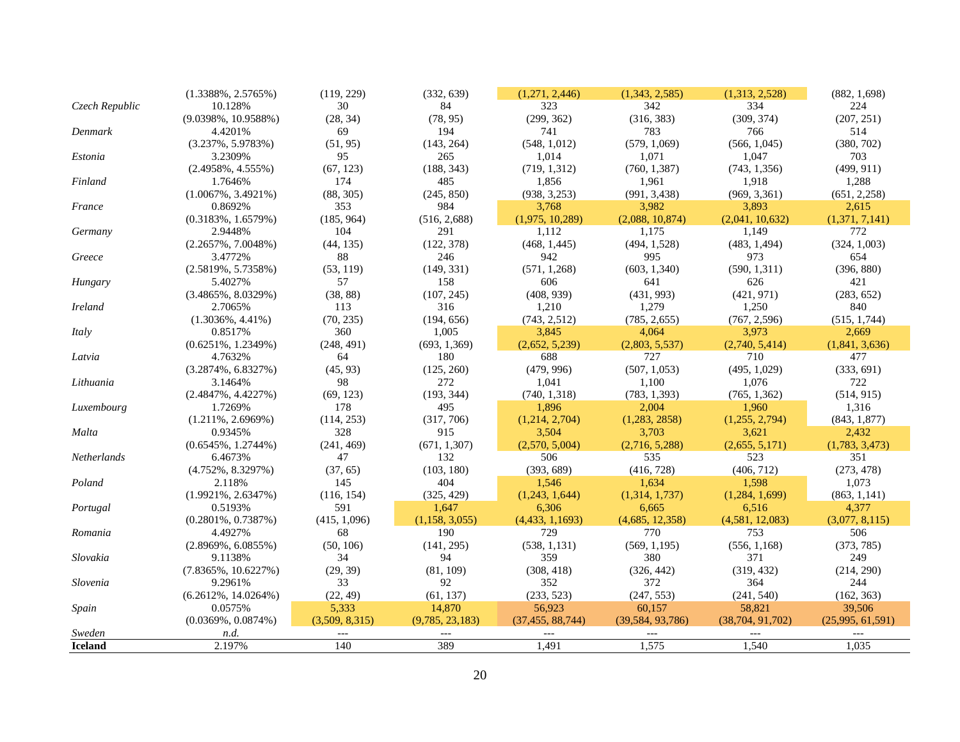| <b>Iceland</b> | 2.197%                            | 140              | 389                  | 1,491                   | 1,575                 | 1,540                   | 1,035                   |
|----------------|-----------------------------------|------------------|----------------------|-------------------------|-----------------------|-------------------------|-------------------------|
| Sweden         | n.d.                              | $---$            | $---$                | $---$                   | $---$                 | $---$                   | $---$                   |
|                | $(0.0369\%, 0.0874\%)$            | (3,509, 8,315)   | (9,785, 23,183)      | (37, 455, 88, 744)      | (39, 584, 93, 786)    | (38, 704, 91, 702)      | (25,995, 61,591)        |
| Spain          | 0.0575%                           | 5,333            | 14,870               | 56,923                  | 60,157                | 58,821                  | 39,506                  |
|                | $(6.2612\%, 14.0264\%)$           | (22, 49)         | (61, 137)            | (233, 523)              | (247, 553)            | (241, 540)              | (162, 363)              |
| Slovenia       | 9.2961%                           | 33               | 92                   | 352                     | 372                   | 364                     | 244                     |
|                | $(7.8365\%, 10.6227\%)$           | (29, 39)         | (81, 109)            | (308, 418)              | (326, 442)            | (319, 432)              | (214, 290)              |
| Slovakia       | 9.1138%                           | 34               | 94                   | 359                     | 380                   | 371                     | 249                     |
|                | $(2.8969\%, 6.0855\%)$            | (50, 106)        | (141, 295)           | (538, 1, 131)           | (569, 1, 195)         | (556, 1,168)            | (373, 785)              |
| Romania        | 4.4927%                           | 68               | 190                  | 729                     | 770                   | 753                     | 506                     |
|                | $(0.2801\%, 0.7387\%)$            | (415, 1,096)     | (1,158, 3,055)       | (4,433, 1,1693)         | (4,685, 12,358)       | (4,581, 12,083)         | (3,077, 8,115)          |
| Portugal       | 0.5193%                           | 591              | 1,647                | 6,306                   | 6,665                 | 6,516                   | 4,377                   |
|                | $(1.9921\%, 2.6347\%)$            | (116, 154)       | (325, 429)           | (1,243, 1,644)          | (1,314, 1,737)        | (1,284, 1,699)          | (863, 1, 141)           |
| Poland         | 2.118%                            | 145              | 404                  | 1,546                   | 1,634                 | 1,598                   | 1,073                   |
|                | $(4.752\%, 8.3297\%)$             | (37, 65)         | (103, 180)           | (393, 689)              | (416, 728)            | (406, 712)              | (273, 478)              |
| Netherlands    | $(0.6545\%, 1.2744\%)$<br>6.4673% | (241, 469)<br>47 | 132                  | 506                     | (2,716, 5,288)<br>535 | 523                     | 351                     |
| Malta          | 0.9345%                           | 328              | 915<br>(671, 1, 307) | 3,504<br>(2,570, 5,004) | 3,703                 | 3,621<br>(2,655, 5,171) | 2,432<br>(1,783, 3,473) |
|                | $(1.211\%, 2.6969\%)$             | (114, 253)       | (317, 706)           | (1,214, 2,704)          | (1,283,2858)          | (1,255, 2,794)          | (843, 1, 877)           |
| Luxembourg     | 1.7269%                           | 178              | 495                  | 1,896                   | 2,004                 | 1,960                   | 1,316                   |
|                | $(2.4847\%, 4.4227\%)$            | (69, 123)        | (193, 344)           | (740, 1, 318)           | (783, 1, 393)         | (765, 1,362)            | (514, 915)              |
| Lithuania      | 3.1464%                           | 98               | 272                  | 1,041                   | 1,100                 | 1,076                   | 722                     |
|                | $(3.2874\%, 6.8327\%)$            | (45, 93)         | (125, 260)           | (479, 996)              | (507, 1, 053)         | (495, 1,029)            | (333, 691)              |
| Latvia         | 4.7632%                           | 64               | 180                  | 688                     | 727                   | 710                     | 477                     |
|                | $(0.6251\%, 1.2349\%)$            | (248, 491)       | (693, 1,369)         | (2,652, 5,239)          | (2,803, 5,537)        | (2,740, 5,414)          | (1,841, 3,636)          |
| Italy          | 0.8517%                           | 360              | 1,005                | 3,845                   | 4,064                 | 3,973                   | 2,669                   |
|                | $(1.3036\%, 4.41\%)$              | (70, 235)        | (194, 656)           | (743, 2, 512)           | (785, 2, 655)         | (767, 2,596)            | (515, 1, 744)           |
| <b>Ireland</b> | 2.7065%                           | 113              | 316                  | 1,210                   | 1,279                 | 1,250                   | 840                     |
|                | $(3.4865\%, 8.0329\%)$            | (38, 88)         | (107, 245)           | (408, 939)              | (431, 993)            | (421, 971)              | (283, 652)              |
| Hungary        | 5.4027%                           | 57               | 158                  | 606                     | 641                   | 626                     | 421                     |
|                | $(2.5819\%, 5.7358\%)$            | (53, 119)        | (149, 331)           | (571, 1, 268)           | (603, 1,340)          | (590, 1, 311)           | (396, 880)              |
| Greece         | 3.4772%                           | 88               | 246                  | 942                     | 995                   | 973                     | 654                     |
|                | $(2.2657\%, 7.0048\%)$            | (44, 135)        | (122, 378)           | (468, 1,445)            | (494, 1,528)          | (483, 1,494)            | (324, 1,003)            |
| Germany        | 2.9448%                           | 104              | 291                  | 1,112                   | 1,175                 | 1,149                   | 772                     |
|                | $(0.3183\%, 1.6579\%)$            | (185, 964)       | (516, 2,688)         | (1,975, 10,289)         | (2,088, 10,874)       | (2,041, 10,632)         | (1,371, 7,141)          |
| France         | 0.8692%                           | 353              | 984                  | 3,768                   | 3,982                 | 3,893                   | 2,615                   |
|                | $(1.0067\%, 3.4921\%)$            | (88, 305)        | (245, 850)           | (938, 3, 253)           | (991, 3,438)          | (969, 3,361)            | (651, 2, 258)           |
| Finland        | 1.7646%                           | 174              | 485                  | 1,856                   | 1,961                 | 1,918                   | 1,288                   |
|                | $(2.4958\%, 4.555\%)$             | (67, 123)        | (188, 343)           | (719, 1, 312)           | (760, 1, 387)         | (743, 1, 356)           | (499, 911)              |
| Estonia        | 3.2309%                           | 95               | 265                  | 1,014                   | 1,071                 | 1,047                   | 703                     |
|                | $(3.237\%, 5.9783\%)$             | (51, 95)         | (143, 264)           | (548, 1, 012)           | (579, 1,069)          | (566, 1,045)            | (380, 702)              |
| Denmark        | 4.4201%                           | 69               | 194                  | 741                     | 783                   | 766                     | 514                     |
|                | $(9.0398\%, 10.9588\%)$           | (28, 34)         | (78, 95)             | (299, 362)              | (316, 383)            | (309, 374)              | (207, 251)              |
| Czech Republic | 10.128%                           | 30               | 84                   | 323                     | 342                   | 334                     | 224                     |
|                | $(1.3388\%, 2.5765\%)$            | (119, 229)       | (332, 639)           | (1,271, 2,446)          | (1,343, 2,585)        | (1,313, 2,528)          | (882, 1,698)            |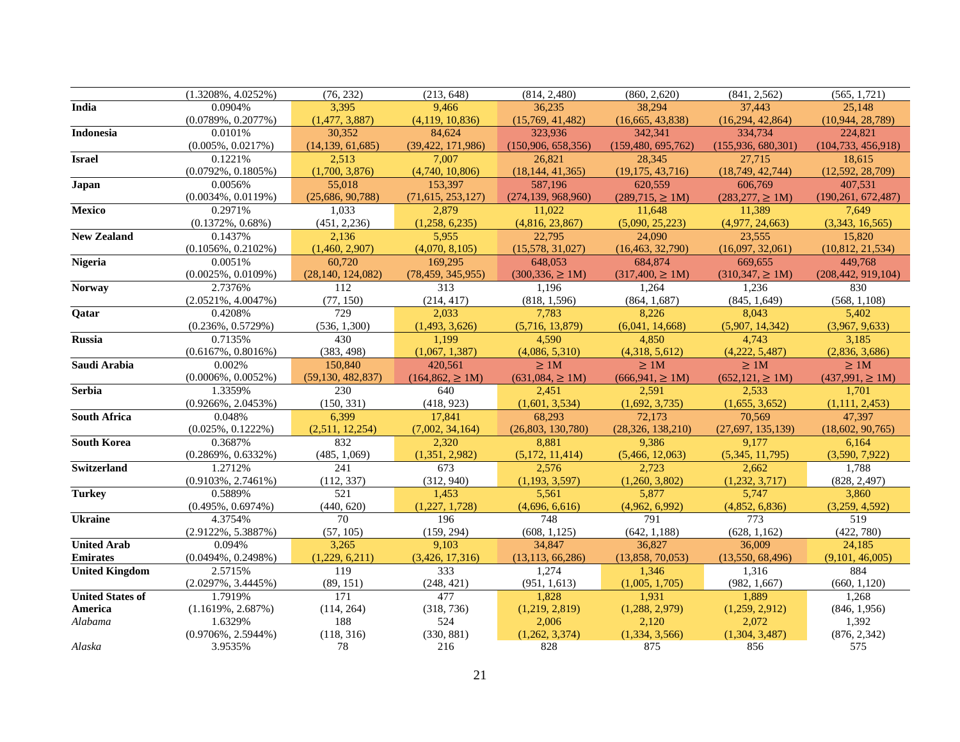|                         | $(1.3208\%, 4.0252\%)$ | (76, 232)           | (213, 648)            | (814, 2,480)         | (860, 2,620)         | (841, 2, 562)         | (565, 1, 721)        |
|-------------------------|------------------------|---------------------|-----------------------|----------------------|----------------------|-----------------------|----------------------|
| India                   | 0.0904%                | 3,395               | 9,466                 | 36,235               | 38,294               | 37,443                | 25,148               |
|                         | $(0.0789\%, 0.2077\%)$ | (1,477, 3,887)      | (4,119, 10,836)       | (15,769, 41,482)     | (16,665, 43,838)     | (16,294, 42,864)      | (10,944, 28,789)     |
| <b>Indonesia</b>        | 0.0101%                | 30,352              | 84,624                | 323,936              | 342,341              | 334,734               | 224,821              |
|                         | $(0.005\%, 0.0217\%)$  | (14, 139, 61, 685)  | (39, 422, 171, 986)   | (150,906, 658,356)   | (159, 480, 695, 762) | (155,936,680,301)     | (104, 733, 456, 918) |
| <b>Israel</b>           | 0.1221%                | 2,513               | 7,007                 | 26,821               | 28,345               | 27.715                | 18,615               |
|                         | $(0.0792\%, 0.1805\%)$ | (1,700, 3,876)      | (4,740, 10,806)       | (18, 144, 41, 365)   | (19, 175, 43, 716)   | (18, 749, 42, 744)    | (12,592, 28,709)     |
| Japan                   | 0.0056%                | 55,018              | 153.397               | 587.196              | 620.559              | 606,769               | 407.531              |
|                         | $(0.0034\%, 0.0119\%)$ | (25,686, 90,788)    | (71,615, 253,127)     | (274, 139, 968, 960) | $(289,715, \geq 1M)$ | $(283,277, \geq 1M)$  | (190, 261, 672, 487) |
| Mexico                  | 0.2971%                | 1,033               | 2,879                 | 11,022               | 11,648               | 11,389                | 7,649                |
|                         | $(0.1372\%, 0.68\%)$   | (451, 2, 236)       | (1,258, 6,235)        | (4,816, 23,867)      | (5,090, 25,223)      | (4,977, 24,663)       | (3,343, 16,565)      |
| <b>New Zealand</b>      | 0.1437%                | 2,136               | 5,955                 | 22,795               | 24,090               | 23,555                | 15,820               |
|                         | $(0.1056\%, 0.2102\%)$ | (1,460, 2,907)      | (4,070, 8,105)        | (15,578, 31,027)     | (16, 463, 32, 790)   | (16,097, 32,061)      | (10, 812, 21, 534)   |
| <b>Nigeria</b>          | 0.0051%                | 60,720              | 169,295               | 648,053              | 684,874              | 669,655               | 449,768              |
|                         | $(0.0025\%, 0.0109\%)$ | (28, 140, 124, 082) | (78, 459, 345, 955)   | $(300, 336) \ge 1M$  | $(317,400) \ge 1M$   | $(310,347, \geq 1M)$  | (208, 442, 919, 104) |
| <b>Norway</b>           | 2.7376%                | 112                 | 313                   | 1,196                | 1,264                | 1,236                 | 830                  |
|                         | $(2.0521\%, 4.0047\%)$ | (77, 150)           | (214, 417)            | (818, 1,596)         | (864, 1,687)         | (845, 1,649)          | (568, 1,108)         |
| Qatar                   | 0.4208%                | $\overline{729}$    | 2,033                 | 7,783                | 8,226                | 8,043                 | 5,402                |
|                         | $(0.236\%, 0.5729\%)$  | (536, 1,300)        | (1,493, 3,626)        | (5,716, 13,879)      | (6,041, 14,668)      | (5,907, 14,342)       | (3,967, 9,633)       |
| <b>Russia</b>           | 0.7135%                | 430                 | 1,199                 | 4,590                | 4,850                | 4,743                 | 3,185                |
|                         | $(0.6167\%, 0.8016\%)$ | (383, 498)          | (1,067, 1,387)        | (4,086, 5,310)       | (4,318, 5,612)       | (4,222, 5,487)        | (2,836, 3,686)       |
| Saudi Arabia            | 0.002%                 | 150,840             | 420.561               | >1M                  | $\geq 1M$            | $\geq$ 1M             | >1M                  |
|                         | $(0.0006\%, 0.0052\%)$ | (59, 130, 482, 837) | $(164, 862, \geq 1M)$ | $(631,084, \geq 1M)$ | $(666, 941, \ge 1M)$ | $(652, 121, \geq 1M)$ | $(437,991, \geq 1M)$ |
| <b>Serbia</b>           | 1.3359%                | 230                 | 640                   | 2,451                | 2,591                | 2,533                 | 1,701                |
|                         | $(0.9266\%, 2.0453\%)$ | (150, 331)          | (418, 923)            | (1,601, 3,534)       | (1,692, 3,735)       | (1,655, 3,652)        | (1,111, 2,453)       |
| <b>South Africa</b>     | 0.048%                 | 6,399               | 17,841                | 68,293               | 72,173               | 70,569                | 47,397               |
|                         | $(0.025\%, 0.1222\%)$  | (2,511, 12,254)     | (7,002, 34,164)       | (26,803, 130,780)    | (28, 326, 138, 210)  | (27,697, 135,139)     | (18,602, 90,765)     |
| <b>South Korea</b>      | 0.3687%                | 832                 | 2,320                 | 8,881                | 9,386                | 9,177                 | 6,164                |
|                         | $(0.2869\%, 0.6332\%)$ | (485, 1,069)        | (1,351, 2,982)        | (5,172, 11,414)      | (5,466, 12,063)      | (5,345, 11,795)       | (3,590, 7,922)       |
| <b>Switzerland</b>      | 1.2712%                | 241                 | 673                   | 2,576                | 2.723                | 2,662                 | 1,788                |
|                         | $(0.9103\%, 2.7461\%)$ | (112, 337)          | (312, 940)            | (1, 193, 3, 597)     | (1,260, 3,802)       | (1,232, 3,717)        | (828, 2,497)         |
| <b>Turkey</b>           | 0.5889%                | 521                 | 1,453                 | 5,561                | 5,877                | 5,747                 | 3,860                |
|                         | $(0.495\%, 0.6974\%)$  | (440, 620)          | (1,227, 1,728)        | (4,696, 6,616)       | (4,962, 6,992)       | (4,852, 6,836)        | (3,259, 4,592)       |
| <b>Ukraine</b>          | 4.3754%                | $\overline{70}$     | 196                   | 748                  | 791                  | 773                   | 519                  |
|                         | $(2.9122\%, 5.3887\%)$ | (57, 105)           | (159, 294)            | (608, 1, 125)        | (642, 1,188)         | (628, 1, 162)         | (422, 780)           |
| <b>United Arab</b>      | 0.094%                 | 3,265               | 9,103                 | 34,847               | 36,827               | 36,009                | 24,185               |
| <b>Emirates</b>         | $(0.0494\%, 0.2498\%)$ | (1,229, 6,211)      | (3,426, 17,316)       | (13, 113, 66, 286)   | (13,858, 70,053)     | (13,550, 68,496)      | (9,101, 46,005)      |
| <b>United Kingdom</b>   | 2.5715%                | 119                 | 333                   | 1,274                | 1,346                | 1,316                 | 884                  |
|                         | $(2.0297\%, 3.4445\%)$ | (89, 151)           | (248, 421)            | (951, 1, 613)        | (1,005, 1,705)       | (982, 1,667)          | (660, 1, 120)        |
| <b>United States of</b> | 1.7919%                | 171                 | 477                   | 1,828                | 1,931                | 1,889                 | 1,268                |
| America                 | $(1.1619\%, 2.687\%)$  | (114, 264)          | (318, 736)            | (1,219, 2,819)       | (1,288, 2,979)       | (1,259, 2,912)        | (846, 1, 956)        |
| Alabama                 | 1.6329%                | 188                 | 524                   | 2,006                | 2.120                | 2,072                 | 1,392                |
|                         | $(0.9706\%, 2.5944\%)$ | (118, 316)          | (330, 881)            | (1,262, 3,374)       | (1,334, 3,566)       | (1,304, 3,487)        | (876, 2, 342)        |
| Alaska                  | 3.9535%                | 78                  | 216                   | 828                  | 875                  | 856                   | 575                  |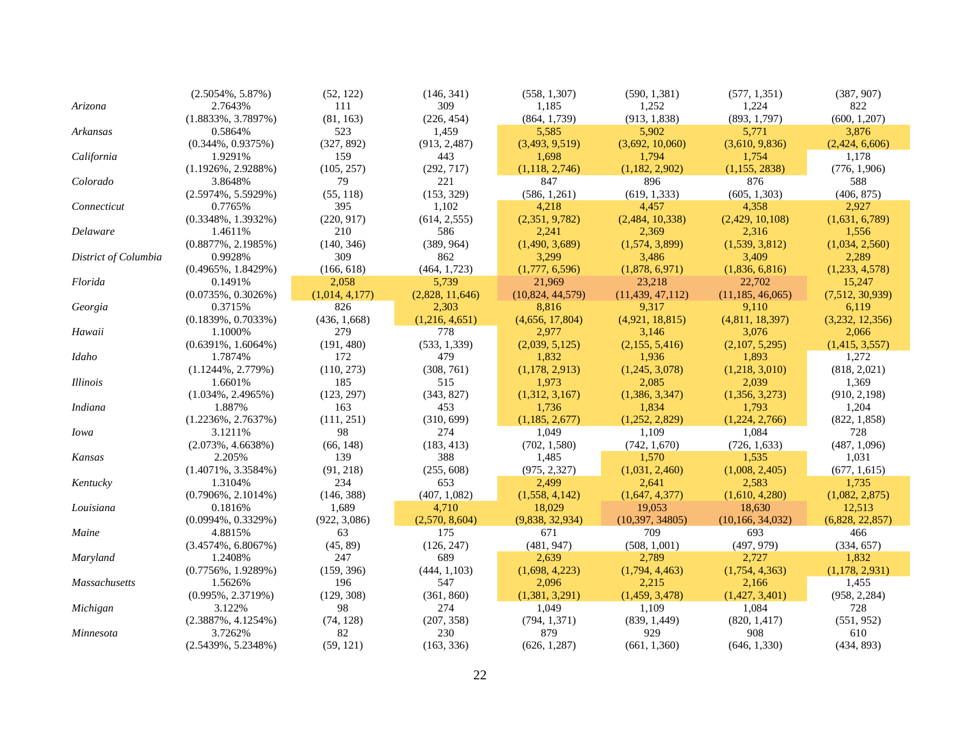|                      | $(2.5054\%, 5.87\%)$   | (52, 122)      | (146, 341)      | (558, 1,307)     | (590, 1, 381)      | (577, 1, 351)      | (387, 907)      |
|----------------------|------------------------|----------------|-----------------|------------------|--------------------|--------------------|-----------------|
| Arizona              | 2.7643%                | 111            | 309             | 1,185            | 1,252              | 1,224              | 822             |
|                      | $(1.8833\%, 3.7897\%)$ | (81, 163)      | (226, 454)      | (864, 1,739)     | (913, 1, 838)      | (893, 1,797)       | (600, 1, 207)   |
| Arkansas             | 0.5864%                | 523            | 1,459           | 5,585            | 5,902              | 5,771              | 3,876           |
|                      | $(0.344\%, 0.9375\%)$  | (327, 892)     | (913, 2,487)    | (3,493, 9,519)   | (3,692, 10,060)    | (3,610, 9,836)     | (2,424, 6,606)  |
| California           | 1.9291%                | 159            | 443             | 1,698            | 1.794              | 1,754              | 1,178           |
|                      | $(1.1926\%, 2.9288\%)$ | (105, 257)     | (292, 717)      | (1, 118, 2, 746) | (1,182, 2,902)     | (1,155, 2838)      | (776, 1,906)    |
| Colorado             | 3.8648%                | 79             | 221             | 847              | 896                | 876                | 588             |
|                      | $(2.5974\%, 5.5929\%)$ | (55, 118)      | (153, 329)      | (586, 1,261)     | (619, 1, 333)      | (605, 1,303)       | (406, 875)      |
| Connecticut          | 0.7765%                | 395            | 1,102           | 4,218            | 4,457              | 4,358              | 2,927           |
|                      | $(0.3348\%, 1.3932\%)$ | (220, 917)     | (614, 2, 555)   | (2,351, 9,782)   | (2,484, 10,338)    | (2,429, 10,108)    | (1,631, 6,789)  |
| Delaware             | 1.4611%                | 210            | 586             | 2,241            | 2,369              | 2,316              | 1,556           |
|                      | $(0.8877\%, 2.1985\%)$ | (140, 346)     | (389, 964)      | (1,490, 3,689)   | (1,574, 3,899)     | (1,539, 3,812)     | (1,034, 2,560)  |
| District of Columbia | 0.9928%                | 309            | 862             | 3,299            | 3,486              | 3,409              | 2,289           |
|                      | $(0.4965\%, 1.8429\%)$ | (166, 618)     | (464, 1, 723)   | (1,777, 6,596)   | (1,878, 6,971)     | (1,836, 6,816)     | (1,233, 4,578)  |
| Florida              | 0.1491%                | 2,058          | 5,739           | 21,969           | 23,218             | 22,702             | 15,247          |
|                      | $(0.0735\%, 0.3026\%)$ | (1,014, 4,177) | (2,828, 11,646) | (10,824, 44,579) | (11, 439, 47, 112) | (11, 185, 46, 065) | (7,512, 30,939) |
| Georgia              | 0.3715%                | 826            | 2,303           | 8,816            | 9,317              | 9,110              | 6,119           |
|                      | $(0.1839\%, 0.7033\%)$ | (436, 1,668)   | (1,216, 4,651)  | (4,656, 17,804)  | (4,921, 18,815)    | (4,811, 18,397)    | (3,232, 12,356) |
| Hawaii               | 1.1000%                | 279            | 778             | 2,977            | 3,146              | 3,076              | 2,066           |
|                      | $(0.6391\%, 1.6064\%)$ | (191, 480)     | (533, 1, 339)   | (2,039, 5,125)   | (2,155, 5,416)     | (2,107, 5,295)     | (1,415, 3,557)  |
| Idaho                | 1.7874%                | 172            | 479             | 1,832            | 1,936              | 1,893              | 1,272           |
|                      | $(1.1244\%, 2.779\%)$  | (110, 273)     | (308, 761)      | (1,178, 2,913)   | (1,245, 3,078)     | (1,218, 3,010)     | (818, 2,021)    |
| <i>Illinois</i>      | 1.6601%                | 185            | 515             | 1,973            | 2,085              | 2,039              | 1,369           |
|                      | $(1.034\%, 2.4965\%)$  | (123, 297)     | (343, 827)      | (1,312, 3,167)   | (1,386, 3,347)     | (1,356, 3,273)     | (910, 2, 198)   |
| Indiana              | 1.887%                 | 163            | 453             | 1,736            | 1,834              | 1,793              | 1,204           |
|                      | $(1.2236\%, 2.7637\%)$ | (111, 251)     | (310, 699)      | (1, 185, 2, 677) | (1,252, 2,829)     | (1,224, 2,766)     | (822, 1, 858)   |
| <i>Iowa</i>          | 3.1211%                | 98             | 274             | 1,049            | 1,109              | 1,084              | 728             |
|                      | $(2.073\%, 4.6638\%)$  | (66, 148)      | (183, 413)      | (702, 1, 580)    | (742, 1,670)       | (726, 1, 633)      | (487, 1,096)    |
| Kansas               | 2.205%                 | 139            | 388             | 1,485            | 1,570              | 1,535              | 1,031           |
|                      | $(1.4071\%, 3.3584\%)$ | (91, 218)      | (255, 608)      | (975, 2, 327)    | (1,031, 2,460)     | (1,008, 2,405)     | (677, 1, 615)   |
| Kentucky             | 1.3104%                | 234            | 653             | 2,499            | 2,641              | 2,583              | 1,735           |
|                      | $(0.7906\%, 2.1014\%)$ | (146, 388)     | (407, 1,082)    | (1,558, 4,142)   | (1,647, 4,377)     | (1,610, 4,280)     | (1,082, 2,875)  |
| Louisiana            | 0.1816%                | 1,689          | 4,710           | 18,029           | 19,053             | 18,630             | 12,513          |
|                      | $(0.0994\%, 0.3329\%)$ | (922, 3,086)   | (2,570, 8,604)  | (9,838, 32,934)  | (10, 397, 34805)   | (10, 166, 34, 032) | (6,828, 22,857) |
| Maine                | 4.8815%                | 63             | 175             | 671              | 709                | 693                | 466             |
|                      | $(3.4574\%, 6.8067\%)$ | (45, 89)       | (126, 247)      | (481, 947)       | (508, 1,001)       | (497, 979)         | (334, 657)      |
| Maryland             | 1.2408%                | 247            | 689             | 2,639            | 2,789              | 2,727              | 1,832           |
|                      | $(0.7756\%, 1.9289\%)$ | (159, 396)     | (444, 1, 103)   | (1,698, 4,223)   | (1,794, 4,463)     | (1,754, 4,363)     | (1,178, 2,931)  |
| <b>Massachusetts</b> | 1.5626%                | 196            | 547             | 2,096            | 2,215              | 2,166              | 1,455           |
|                      | $(0.995\%, 2.3719\%)$  | (129, 308)     | (361, 860)      | (1,381, 3,291)   | (1,459, 3,478)     | (1,427, 3,401)     | (958, 2,284)    |
| Michigan             | 3.122%                 | 98             | 274             | 1,049            | 1,109              | 1,084              | 728             |
|                      | $(2.3887\%, 4.1254\%)$ | (74, 128)      | (207, 358)      | (794, 1, 371)    | (839, 1,449)       | (820, 1, 417)      | (551, 952)      |
| Minnesota            | 3.7262%                | 82             | 230             | 879              | 929                | 908                | 610             |
|                      | $(2.5439\%, 5.2348\%)$ | (59, 121)      | (163, 336)      | (626, 1, 287)    | (661, 1,360)       | (646, 1,330)       | (434, 893)      |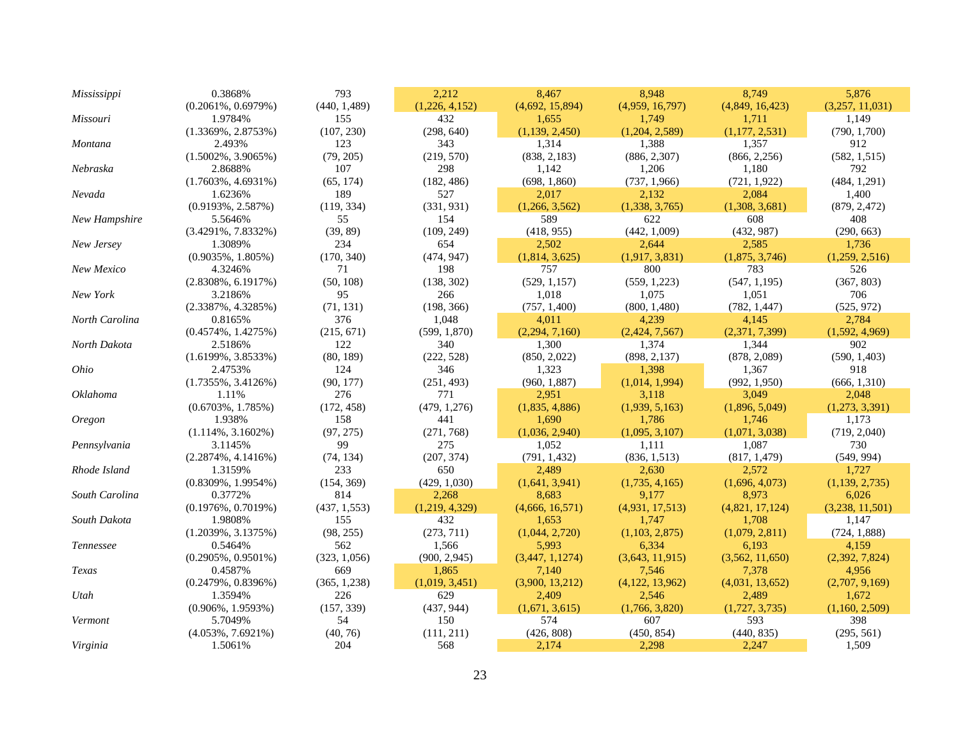| Mississippi    | 0.3868%                | 793           | 2,212          | 8,467           | 8,948             | 8,749           | 5,876            |
|----------------|------------------------|---------------|----------------|-----------------|-------------------|-----------------|------------------|
|                | $(0.2061\%, 0.6979\%)$ | (440, 1,489)  | (1,226, 4,152) | (4,692, 15,894) | (4,959, 16,797)   | (4,849, 16,423) | (3,257, 11,031)  |
| Missouri       | 1.9784%                | 155           | 432            | 1,655           | 1,749             | 1,711           | 1,149            |
|                | $(1.3369\%, 2.8753\%)$ | (107, 230)    | (298, 640)     | (1,139, 2,450)  | (1,204, 2,589)    | (1,177, 2,531)  | (790, 1,700)     |
| Montana        | 2.493%                 | 123           | 343            | 1,314           | 1,388             | 1,357           | 912              |
|                | $(1.5002\%, 3.9065\%)$ | (79, 205)     | (219, 570)     | (838, 2, 183)   | (886, 2,307)      | (866, 2, 256)   | (582, 1, 515)    |
| Nebraska       | 2.8688%                | 107           | 298            | 1,142           | 1,206             | 1,180           | 792              |
|                | $(1.7603\%, 4.6931\%)$ | (65, 174)     | (182, 486)     | (698, 1,860)    | (737, 1,966)      | (721, 1, 922)   | (484, 1,291)     |
| Nevada         | 1.6236%                | 189           | 527            | 2,017           | 2,132             | 2,084           | 1,400            |
|                | $(0.9193\%, 2.587\%)$  | (119, 334)    | (331, 931)     | (1,266, 3,562)  | (1,338, 3,765)    | (1,308, 3,681)  | (879, 2,472)     |
| New Hampshire  | 5.5646%                | 55            | 154            | 589             | 622               | 608             | 408              |
|                | $(3.4291\%, 7.8332\%)$ | (39, 89)      | (109, 249)     | (418, 955)      | (442, 1,009)      | (432, 987)      | (290, 663)       |
| New Jersey     | 1.3089%                | 234           | 654            | 2,502           | 2,644             | 2,585           | 1,736            |
|                | $(0.9035\%, 1.805\%)$  | (170, 340)    | (474, 947)     | (1,814, 3,625)  | (1,917, 3,831)    | (1,875, 3,746)  | (1,259, 2,516)   |
| New Mexico     | 4.3246%                | 71            | 198            | 757             | 800               | 783             | 526              |
|                | $(2.8308\%, 6.1917\%)$ | (50, 108)     | (138, 302)     | (529, 1, 157)   | (559, 1, 223)     | (547, 1, 195)   | (367, 803)       |
| New York       | 3.2186%                | 95            | 266            | 1,018           | 1,075             | 1,051           | 706              |
|                | $(2.3387\%, 4.3285\%)$ | (71, 131)     | (198, 366)     | (757, 1,400)    | (800, 1,480)      | (782, 1,447)    | (525, 972)       |
| North Carolina | 0.8165%                | 376           | 1,048          | 4,011           | 4,239             | 4,145           | 2,784            |
|                | $(0.4574\%, 1.4275\%)$ | (215, 671)    | (599, 1,870)   | (2,294, 7,160)  | (2,424, 7,567)    | (2,371, 7,399)  | (1,592, 4,969)   |
| North Dakota   | 2.5186%                | 122           | 340            | 1,300           | 1,374             | 1,344           | 902              |
|                | $(1.6199\%, 3.8533\%)$ | (80, 189)     | (222, 528)     | (850, 2,022)    | (898, 2, 137)     | (878, 2,089)    | (590, 1,403)     |
| Ohio           | 2.4753%                | 124           | 346            | 1,323           | 1,398             | 1,367           | 918              |
|                | $(1.7355\%, 3.4126\%)$ | (90, 177)     | (251, 493)     | (960, 1, 887)   | (1,014, 1,994)    | (992, 1, 950)   | (666, 1, 310)    |
| Oklahoma       | 1.11%                  | 276           | 771            | 2,951           | 3,118             | 3,049           | 2,048            |
|                | $(0.6703\%, 1.785\%)$  | (172, 458)    | (479, 1, 276)  | (1,835, 4,886)  | (1,939, 5,163)    | (1,896, 5,049)  | (1,273, 3,391)   |
| <b>Oregon</b>  | 1.938%                 | 158           | 441            | 1,690           | 1,786             | 1,746           | 1,173            |
|                | $(1.114\%, 3.1602\%)$  | (97, 275)     | (271, 768)     | (1,036, 2,940)  | (1,095, 3,107)    | (1,071, 3,038)  | (719, 2,040)     |
| Pennsylvania   | 3.1145%                | 99            | 275            | 1,052           | 1,111             | 1,087           | 730              |
|                | $(2.2874\%, 4.1416\%)$ | (74, 134)     | (207, 374)     | (791, 1, 432)   | (836, 1, 513)     | (817, 1,479)    | (549, 994)       |
| Rhode Island   | 1.3159%                | 233           | 650            | 2,489           | 2,630             | 2,572           | 1,727            |
|                | $(0.8309\%, 1.9954\%)$ | (154, 369)    | (429, 1,030)   | (1,641, 3,941)  | (1,735, 4,165)    | (1,696, 4,073)  | (1, 139, 2, 735) |
| South Carolina | 0.3772%                | 814           | 2,268          | 8,683           | 9,177             | 8,973           | 6,026            |
|                | $(0.1976\%, 0.7019\%)$ | (437, 1, 553) | (1,219, 4,329) | (4,666, 16,571) | (4,931, 17,513)   | (4,821, 17,124) | (3,238, 11,501)  |
| South Dakota   | 1.9808%                | 155           | 432            | 1,653           | 1,747             | 1,708           | 1,147            |
|                | $(1.2039\%, 3.1375\%)$ | (98, 255)     | (273, 711)     | (1,044, 2,720)  | (1,103, 2,875)    | (1,079, 2,811)  | (724, 1,888)     |
| Tennessee      | 0.5464%                | 562           | 1,566          | 5,993           | 6,334             | 6,193           | 4,159            |
|                | $(0.2905\%, 0.9501\%)$ | (323, 1,056)  | (900, 2, 945)  | (3,447, 1,1274) | (3,643, 11,915)   | (3,562, 11,650) | (2,392, 7,824)   |
| Texas          | 0.4587%                | 669           | 1,865          | 7,140           | 7,546             | 7,378           | 4,956            |
|                | $(0.2479\%, 0.8396\%)$ | (365, 1, 238) | (1,019, 3,451) | (3,900, 13,212) | (4, 122, 13, 962) | (4,031, 13,652) | (2,707, 9,169)   |
| Utah           | 1.3594%                | 226           | 629            | 2,409           | 2,546             | 2,489           | 1,672            |
|                | $(0.906\%, 1.9593\%)$  | (157, 339)    | (437, 944)     | (1,671, 3,615)  | (1,766, 3,820)    | (1,727, 3,735)  | (1,160, 2,509)   |
| Vermont        | 5.7049%                | 54            | 150            | 574             | 607               | 593             | 398              |
|                | $(4.053\%, 7.6921\%)$  | (40, 76)      | (111, 211)     | (426, 808)      | (450, 854)        | (440, 835)      | (295, 561)       |
| Virginia       | 1.5061%                | 204           | 568            | 2,174           | 2,298             | 2,247           | 1,509            |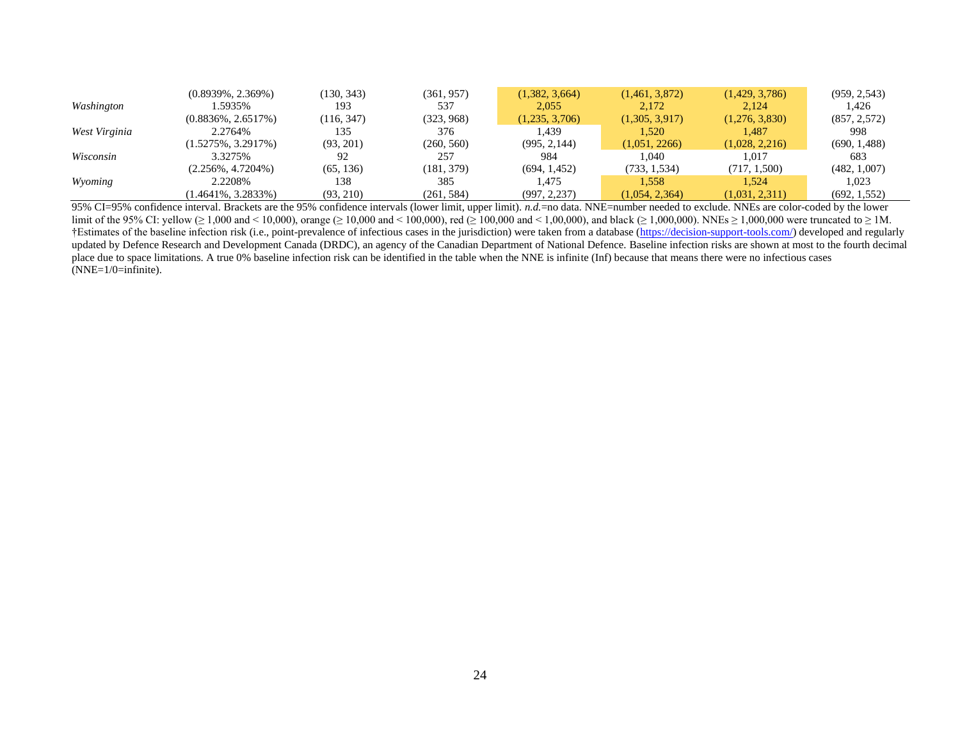|               | $(0.8939\%, 2.369\%)$  | (130, 343) | (361, 957) | (1,382, 3,664) | (1,461, 3,872) | (1,429, 3,786) | (959, 2, 543) |
|---------------|------------------------|------------|------------|----------------|----------------|----------------|---------------|
| Washington    | 1.5935%                | 193        | 537        | 2.055          | 2.172          | 2.124          | 1,426         |
|               | $(0.8836\%, 2.6517\%)$ | (116, 347) | (323, 968) | (1,235, 3,706) | (1,305, 3,917) | (1,276, 3,830) | (857, 2, 572) |
| West Virginia | 2.2764%                | 135        | 376        | 1.439          | 1.520          | 1.487          | 998           |
|               | $(1.5275\%, 3.2917\%)$ | (93, 201)  | (260, 560) | (995, 2, 144)  | (1,051, 2266)  | (1,028, 2,216) | (690, 1,488)  |
| Wisconsin     | 3.3275%                | 92         | 257        | 984            | 1.040          | 1.017          | 683           |
|               | $(2.256\%, 4.7204\%)$  | (65, 136)  | (181, 379) | (694, 1,452)   | (733, 1,534)   | (717, 1,500)   | (482, 1,007)  |
| Wyoming       | 2.2208\%               | 138        | 385        | 1.475          | 1.558          | 1.524          | 1.023         |
|               | $(1.4641\%, 3.2833\%)$ | (93, 210)  | (261, 584) | (997, 2, 237)  | (1,054, 2,364) | (1,031, 2,311) | (692, 1, 552) |

95% CI=95% confidence interval. Brackets are the 95% confidence intervals (lower limit, upper limit). *n.d.*=no data. NNE=number needed to exclude. NNEs are color-coded by the lower limit of the 95% CI: yellow (≥ 1,000 and < 10,000), orange (≥ 10,000 and < 100,000), red (≥ 100,000 and < 1,00,000), and black (≥ 1,000,000). NNEs ≥ 1,000,000 were truncated to ≥ 1M. †Estimates of the baseline infection risk (i.e., point-prevalence of infectious cases in the jurisdiction) were taken from a database [\(https://decision-support-tools.com/\)](https://decision-support-tools.com/) developed and regularly updated by Defence Research and Development Canada (DRDC), an agency of the Canadian Department of National Defence. Baseline infection risks are shown at most to the fourth decimal place due to space limitations. A true 0% baseline infection risk can be identified in the table when the NNE is infinite (Inf) because that means there were no infectious cases (NNE=1/0=infinite).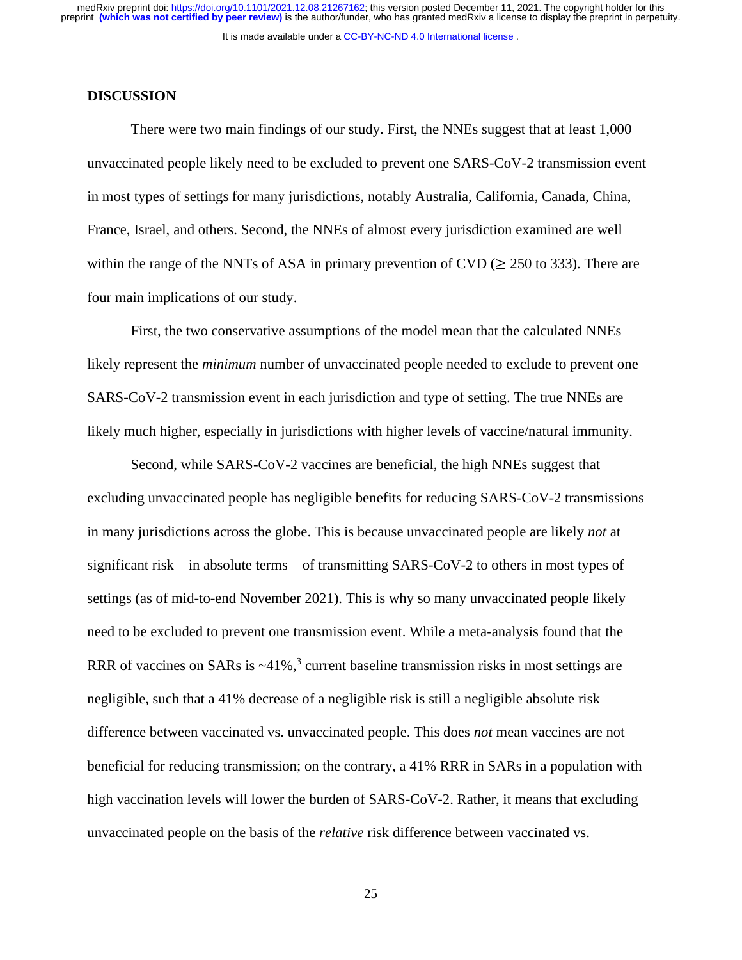### **DISCUSSION**

There were two main findings of our study. First, the NNEs suggest that at least 1,000 unvaccinated people likely need to be excluded to prevent one SARS-CoV-2 transmission event in most types of settings for many jurisdictions, notably Australia, California, Canada, China, France, Israel, and others. Second, the NNEs of almost every jurisdiction examined are well within the range of the NNTs of ASA in primary prevention of CVD ( $\geq$  250 to 333). There are four main implications of our study.

First, the two conservative assumptions of the model mean that the calculated NNEs likely represent the *minimum* number of unvaccinated people needed to exclude to prevent one SARS-CoV-2 transmission event in each jurisdiction and type of setting. The true NNEs are likely much higher, especially in jurisdictions with higher levels of vaccine/natural immunity.

Second, while SARS-CoV-2 vaccines are beneficial, the high NNEs suggest that excluding unvaccinated people has negligible benefits for reducing SARS-CoV-2 transmissions in many jurisdictions across the globe. This is because unvaccinated people are likely *not* at significant risk – in absolute terms – of transmitting SARS-CoV-2 to others in most types of settings (as of mid-to-end November 2021). This is why so many unvaccinated people likely need to be excluded to prevent one transmission event. While a meta-analysis found that the RRR of vaccines on SARs is  $\sim$ 41%,<sup>3</sup> current baseline transmission risks in most settings are negligible, such that a 41% decrease of a negligible risk is still a negligible absolute risk difference between vaccinated vs. unvaccinated people. This does *not* mean vaccines are not beneficial for reducing transmission; on the contrary, a 41% RRR in SARs in a population with high vaccination levels will lower the burden of SARS-CoV-2. Rather, it means that excluding unvaccinated people on the basis of the *relative* risk difference between vaccinated vs.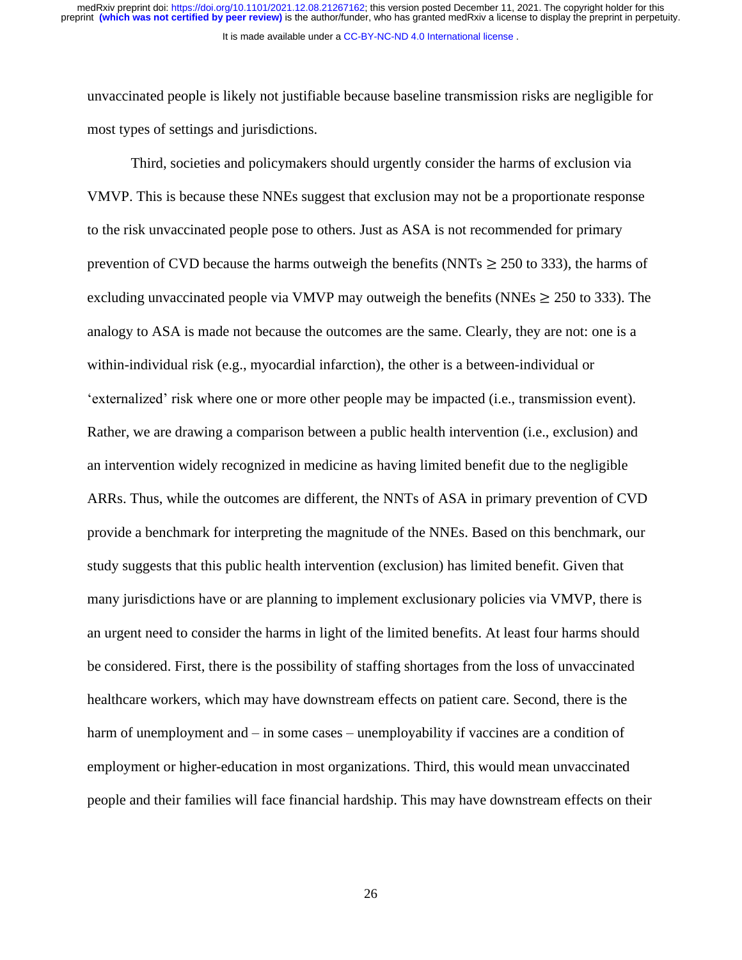unvaccinated people is likely not justifiable because baseline transmission risks are negligible for most types of settings and jurisdictions.

Third, societies and policymakers should urgently consider the harms of exclusion via VMVP. This is because these NNEs suggest that exclusion may not be a proportionate response to the risk unvaccinated people pose to others. Just as ASA is not recommended for primary prevention of CVD because the harms outweigh the benefits (NNTs  $\geq$  250 to 333), the harms of excluding unvaccinated people via VMVP may outweigh the benefits (NNEs  $\geq$  250 to 333). The analogy to ASA is made not because the outcomes are the same. Clearly, they are not: one is a within-individual risk (e.g., myocardial infarction), the other is a between-individual or 'externalized' risk where one or more other people may be impacted (i.e., transmission event). Rather, we are drawing a comparison between a public health intervention (i.e., exclusion) and an intervention widely recognized in medicine as having limited benefit due to the negligible ARRs. Thus, while the outcomes are different, the NNTs of ASA in primary prevention of CVD provide a benchmark for interpreting the magnitude of the NNEs. Based on this benchmark, our study suggests that this public health intervention (exclusion) has limited benefit. Given that many jurisdictions have or are planning to implement exclusionary policies via VMVP, there is an urgent need to consider the harms in light of the limited benefits. At least four harms should be considered. First, there is the possibility of staffing shortages from the loss of unvaccinated healthcare workers, which may have downstream effects on patient care. Second, there is the harm of unemployment and – in some cases – unemployability if vaccines are a condition of employment or higher-education in most organizations. Third, this would mean unvaccinated people and their families will face financial hardship. This may have downstream effects on their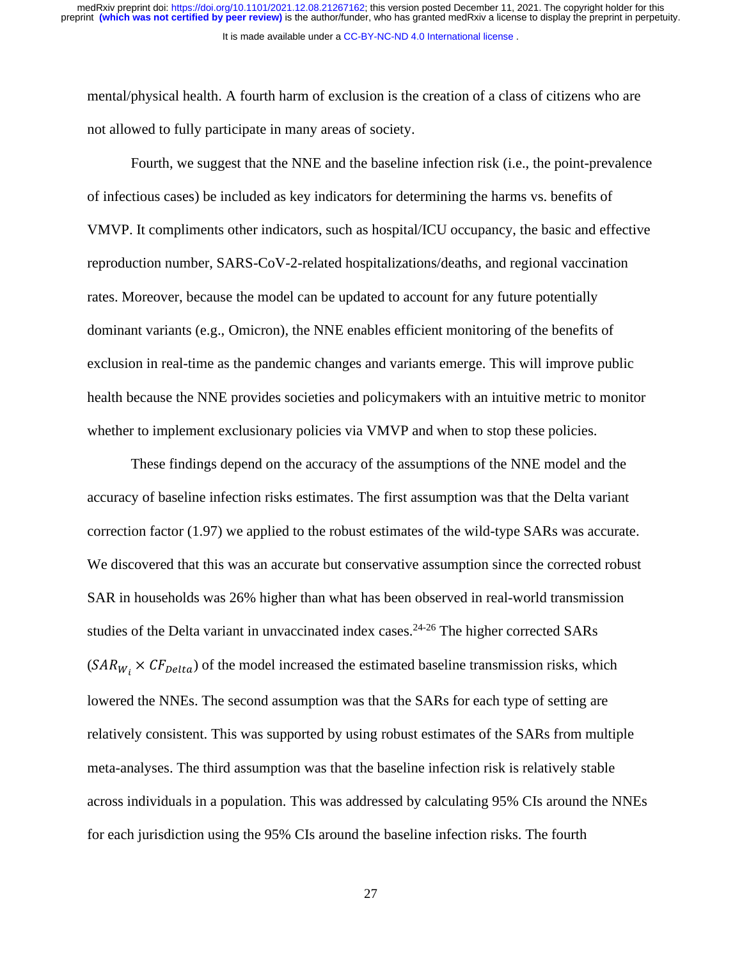mental/physical health. A fourth harm of exclusion is the creation of a class of citizens who are not allowed to fully participate in many areas of society.

Fourth, we suggest that the NNE and the baseline infection risk (i.e., the point-prevalence of infectious cases) be included as key indicators for determining the harms vs. benefits of VMVP. It compliments other indicators, such as hospital/ICU occupancy, the basic and effective reproduction number, SARS-CoV-2-related hospitalizations/deaths, and regional vaccination rates. Moreover, because the model can be updated to account for any future potentially dominant variants (e.g., Omicron), the NNE enables efficient monitoring of the benefits of exclusion in real-time as the pandemic changes and variants emerge. This will improve public health because the NNE provides societies and policymakers with an intuitive metric to monitor whether to implement exclusionary policies via VMVP and when to stop these policies.

These findings depend on the accuracy of the assumptions of the NNE model and the accuracy of baseline infection risks estimates. The first assumption was that the Delta variant correction factor (1.97) we applied to the robust estimates of the wild-type SARs was accurate. We discovered that this was an accurate but conservative assumption since the corrected robust SAR in households was 26% higher than what has been observed in real-world transmission studies of the Delta variant in unvaccinated index cases.<sup>24-26</sup> The higher corrected SARs  $(SAR_{W_i} \times CF_{Delta})$  of the model increased the estimated baseline transmission risks, which lowered the NNEs. The second assumption was that the SARs for each type of setting are relatively consistent. This was supported by using robust estimates of the SARs from multiple meta-analyses. The third assumption was that the baseline infection risk is relatively stable across individuals in a population. This was addressed by calculating 95% CIs around the NNEs for each jurisdiction using the 95% CIs around the baseline infection risks. The fourth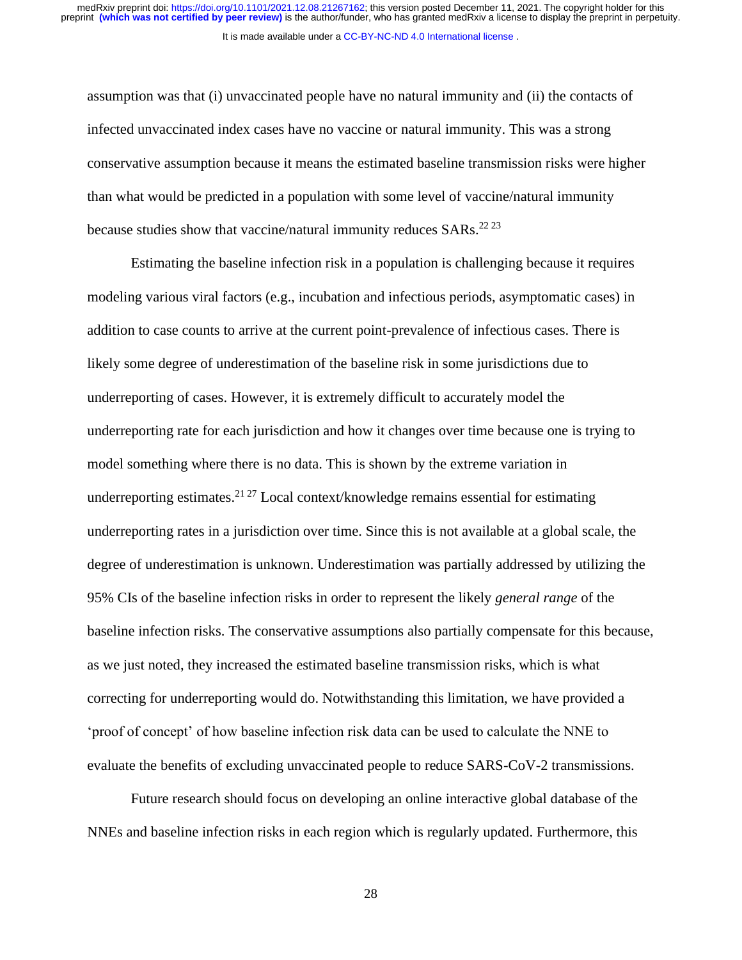assumption was that (i) unvaccinated people have no natural immunity and (ii) the contacts of infected unvaccinated index cases have no vaccine or natural immunity. This was a strong conservative assumption because it means the estimated baseline transmission risks were higher than what would be predicted in a population with some level of vaccine/natural immunity because studies show that vaccine/natural immunity reduces SARs.<sup>22 23</sup>

Estimating the baseline infection risk in a population is challenging because it requires modeling various viral factors (e.g., incubation and infectious periods, asymptomatic cases) in addition to case counts to arrive at the current point-prevalence of infectious cases. There is likely some degree of underestimation of the baseline risk in some jurisdictions due to underreporting of cases. However, it is extremely difficult to accurately model the underreporting rate for each jurisdiction and how it changes over time because one is trying to model something where there is no data. This is shown by the extreme variation in underreporting estimates.<sup>21 27</sup> Local context/knowledge remains essential for estimating underreporting rates in a jurisdiction over time. Since this is not available at a global scale, the degree of underestimation is unknown. Underestimation was partially addressed by utilizing the 95% CIs of the baseline infection risks in order to represent the likely *general range* of the baseline infection risks. The conservative assumptions also partially compensate for this because, as we just noted, they increased the estimated baseline transmission risks, which is what correcting for underreporting would do. Notwithstanding this limitation, we have provided a 'proof of concept' of how baseline infection risk data can be used to calculate the NNE to evaluate the benefits of excluding unvaccinated people to reduce SARS-CoV-2 transmissions.

Future research should focus on developing an online interactive global database of the NNEs and baseline infection risks in each region which is regularly updated. Furthermore, this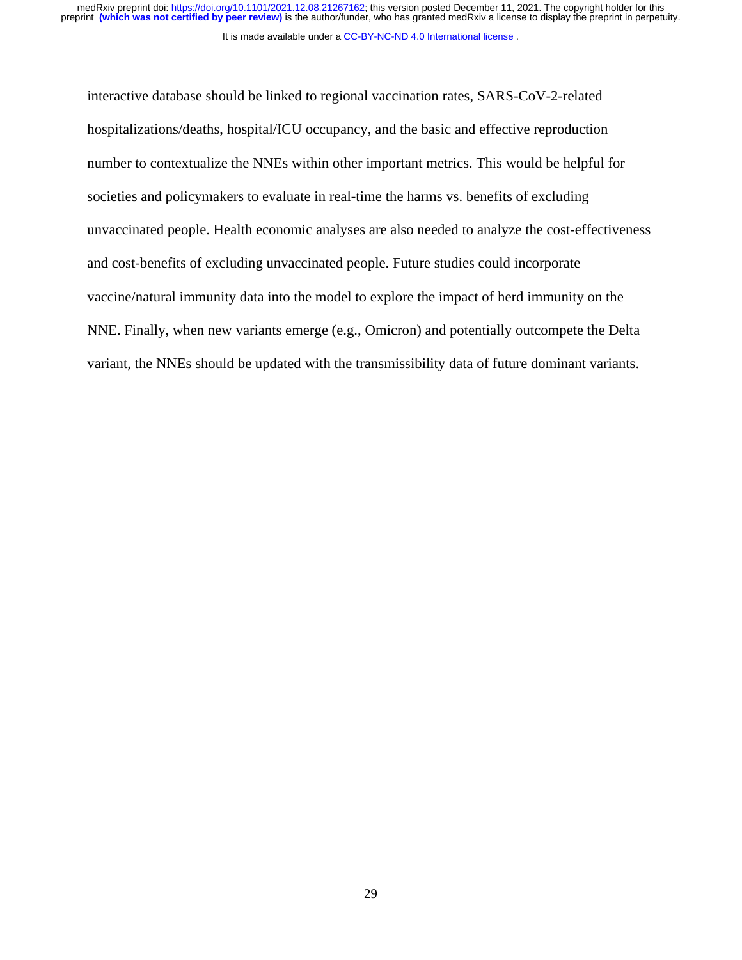medRxiv preprint doi: [https://doi.org/10.1101/2021.12.08.21267162;](https://doi.org/10.1101/2021.12.08.21267162) this version posted December 11, 2021. The copyright holder for this<br>preprint (which was not certified by peer review) is the author/funder, who has grante

It is made available under a [CC-BY-NC-ND 4.0 International license](http://creativecommons.org/licenses/by-nc-nd/4.0/) .

interactive database should be linked to regional vaccination rates, SARS-CoV-2-related hospitalizations/deaths, hospital/ICU occupancy, and the basic and effective reproduction number to contextualize the NNEs within other important metrics. This would be helpful for societies and policymakers to evaluate in real-time the harms vs. benefits of excluding unvaccinated people. Health economic analyses are also needed to analyze the cost-effectiveness and cost-benefits of excluding unvaccinated people. Future studies could incorporate vaccine/natural immunity data into the model to explore the impact of herd immunity on the NNE. Finally, when new variants emerge (e.g., Omicron) and potentially outcompete the Delta variant, the NNEs should be updated with the transmissibility data of future dominant variants.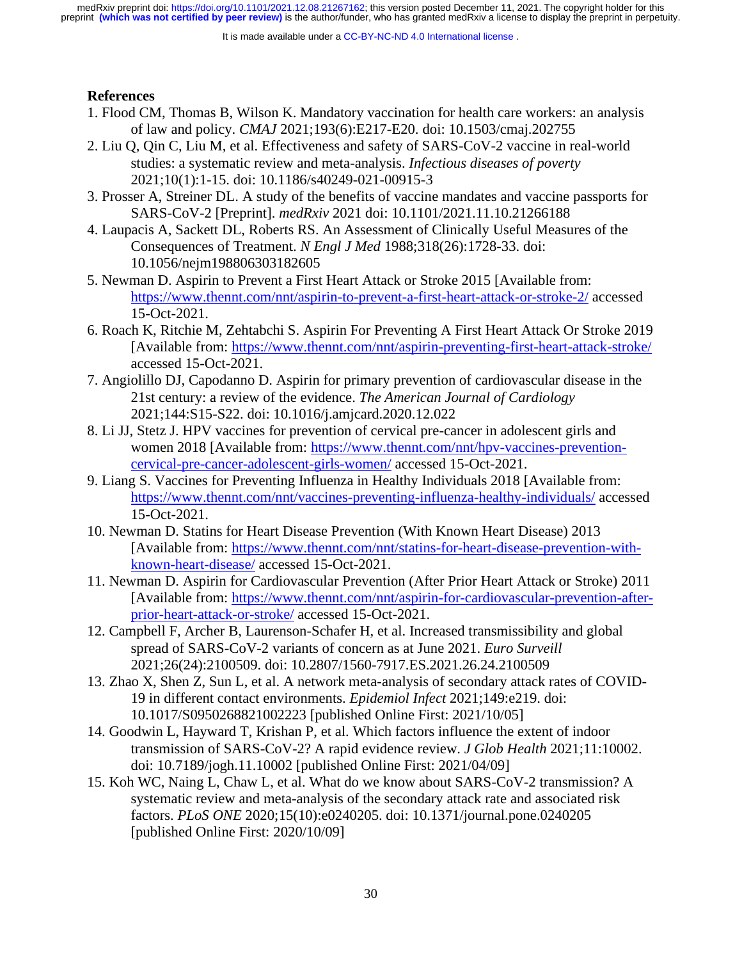It is made available under a [CC-BY-NC-ND 4.0 International license](http://creativecommons.org/licenses/by-nc-nd/4.0/) .

# **References**

- 1. Flood CM, Thomas B, Wilson K. Mandatory vaccination for health care workers: an analysis of law and policy. *CMAJ* 2021;193(6):E217-E20. doi: 10.1503/cmaj.202755
- 2. Liu Q, Qin C, Liu M, et al. Effectiveness and safety of SARS-CoV-2 vaccine in real-world studies: a systematic review and meta-analysis. *Infectious diseases of poverty* 2021;10(1):1-15. doi: 10.1186/s40249-021-00915-3
- 3. Prosser A, Streiner DL. A study of the benefits of vaccine mandates and vaccine passports for SARS-CoV-2 [Preprint]. *medRxiv* 2021 doi: 10.1101/2021.11.10.21266188
- 4. Laupacis A, Sackett DL, Roberts RS. An Assessment of Clinically Useful Measures of the Consequences of Treatment. *N Engl J Med* 1988;318(26):1728-33. doi: 10.1056/nejm198806303182605
- 5. Newman D. Aspirin to Prevent a First Heart Attack or Stroke 2015 [Available from: <https://www.thennt.com/nnt/aspirin-to-prevent-a-first-heart-attack-or-stroke-2/> accessed 15-Oct-2021.
- 6. Roach K, Ritchie M, Zehtabchi S. Aspirin For Preventing A First Heart Attack Or Stroke 2019 [Available from:<https://www.thennt.com/nnt/aspirin-preventing-first-heart-attack-stroke/> accessed 15-Oct-2021.
- 7. Angiolillo DJ, Capodanno D. Aspirin for primary prevention of cardiovascular disease in the 21st century: a review of the evidence. *The American Journal of Cardiology* 2021;144:S15-S22. doi: 10.1016/j.amjcard.2020.12.022
- 8. Li JJ, Stetz J. HPV vaccines for prevention of cervical pre-cancer in adolescent girls and women 2018 [Available from: [https://www.thennt.com/nnt/hpv-vaccines-prevention](https://www.thennt.com/nnt/hpv-vaccines-prevention-cervical-pre-cancer-adolescent-girls-women/)[cervical-pre-cancer-adolescent-girls-women/](https://www.thennt.com/nnt/hpv-vaccines-prevention-cervical-pre-cancer-adolescent-girls-women/) accessed 15-Oct-2021.
- 9. Liang S. Vaccines for Preventing Influenza in Healthy Individuals 2018 [Available from: <https://www.thennt.com/nnt/vaccines-preventing-influenza-healthy-individuals/> accessed 15-Oct-2021.
- 10. Newman D. Statins for Heart Disease Prevention (With Known Heart Disease) 2013 [Available from: [https://www.thennt.com/nnt/statins-for-heart-disease-prevention-with](https://www.thennt.com/nnt/statins-for-heart-disease-prevention-with-known-heart-disease/)[known-heart-disease/](https://www.thennt.com/nnt/statins-for-heart-disease-prevention-with-known-heart-disease/) accessed 15-Oct-2021.
- 11. Newman D. Aspirin for Cardiovascular Prevention (After Prior Heart Attack or Stroke) 2011 [Available from: [https://www.thennt.com/nnt/aspirin-for-cardiovascular-prevention-after](https://www.thennt.com/nnt/aspirin-for-cardiovascular-prevention-after-prior-heart-attack-or-stroke/)[prior-heart-attack-or-stroke/](https://www.thennt.com/nnt/aspirin-for-cardiovascular-prevention-after-prior-heart-attack-or-stroke/) accessed 15-Oct-2021.
- 12. Campbell F, Archer B, Laurenson-Schafer H, et al. Increased transmissibility and global spread of SARS-CoV-2 variants of concern as at June 2021. *Euro Surveill* 2021;26(24):2100509. doi: 10.2807/1560-7917.ES.2021.26.24.2100509
- 13. Zhao X, Shen Z, Sun L, et al. A network meta-analysis of secondary attack rates of COVID-19 in different contact environments. *Epidemiol Infect* 2021;149:e219. doi: 10.1017/S0950268821002223 [published Online First: 2021/10/05]
- 14. Goodwin L, Hayward T, Krishan P, et al. Which factors influence the extent of indoor transmission of SARS-CoV-2? A rapid evidence review. *J Glob Health* 2021;11:10002. doi: 10.7189/jogh.11.10002 [published Online First: 2021/04/09]
- 15. Koh WC, Naing L, Chaw L, et al. What do we know about SARS-CoV-2 transmission? A systematic review and meta-analysis of the secondary attack rate and associated risk factors. *PLoS ONE* 2020;15(10):e0240205. doi: 10.1371/journal.pone.0240205 [published Online First: 2020/10/09]